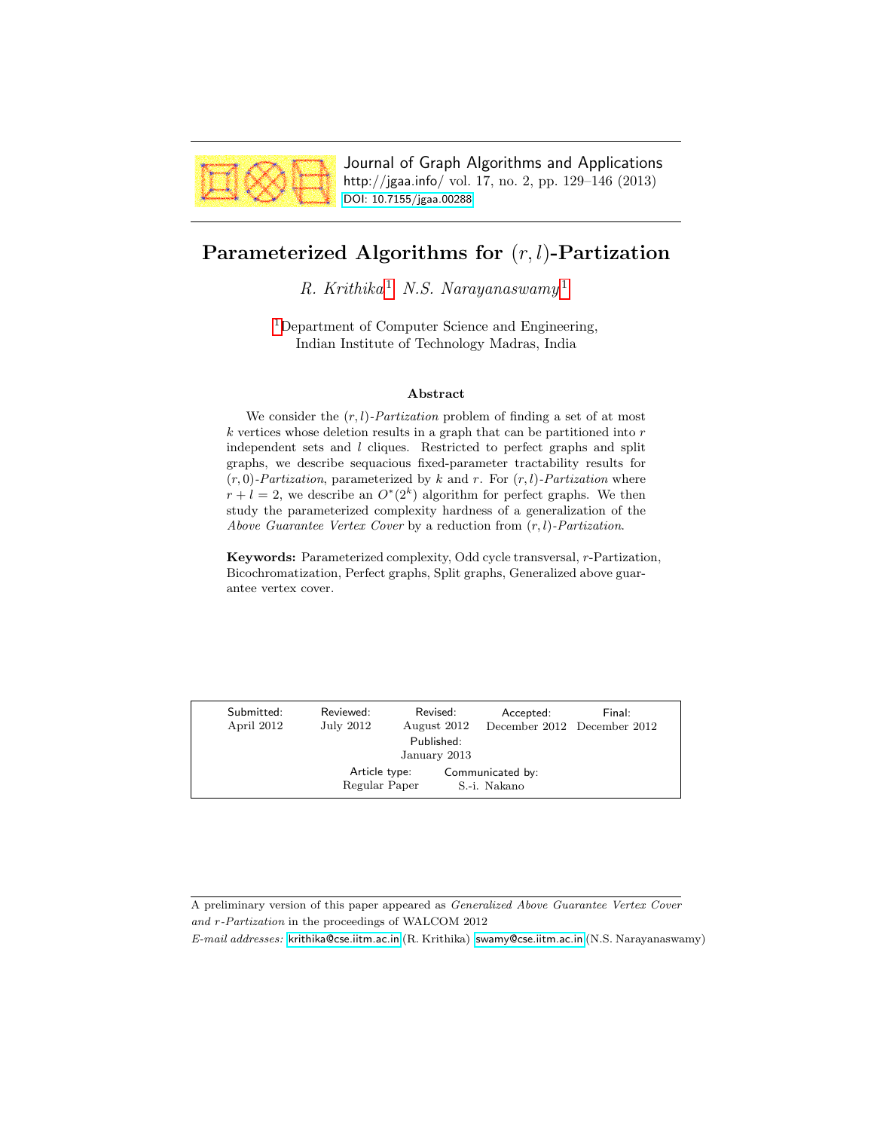

Journal of Graph Algorithms and Applications http://jgaa.info/ vol. 17, no. 2, pp. 129–146 (2013) [DOI: 10.7155/jgaa.00288](http://dx.doi.org/10.7155/jgaa.00288)

# <span id="page-0-0"></span>Parameterized Algorithms for  $(r, l)$ -Partization

R. Krithika<sup>[1](#page-0-0)</sup> N.S. Narayanaswamy<sup>1</sup>

[1](#page-0-0)Department of Computer Science and Engineering, Indian Institute of Technology Madras, India

#### Abstract

We consider the  $(r, l)$ -*Partization* problem of finding a set of at most  $k$  vertices whose deletion results in a graph that can be partitioned into  $r$ independent sets and l cliques. Restricted to perfect graphs and split graphs, we describe sequacious fixed-parameter tractability results for  $(r, 0)$ -Partization, parameterized by k and r. For  $(r, l)$ -Partization where  $r + l = 2$ , we describe an  $O^*(2^k)$  algorithm for perfect graphs. We then study the parameterized complexity hardness of a generalization of the Above Guarantee Vertex Cover by a reduction from  $(r, l)$ -Partization.

Keywords: Parameterized complexity, Odd cycle transversal, r-Partization, Bicochromatization, Perfect graphs, Split graphs, Generalized above guarantee vertex cover.

|                            | Submitted:<br>April 2012 | Reviewed:<br>July 2012         | Revised:<br>August 2012 |                                  | Accepted: | Final:<br>December 2012 December 2012 |  |
|----------------------------|--------------------------|--------------------------------|-------------------------|----------------------------------|-----------|---------------------------------------|--|
| Published:<br>January 2013 |                          |                                |                         |                                  |           |                                       |  |
|                            |                          | Article type:<br>Regular Paper |                         | Communicated by:<br>S.-i. Nakano |           |                                       |  |

A preliminary version of this paper appeared as Generalized Above Guarantee Vertex Cover and r-Partization in the proceedings of WALCOM 2012

E-mail addresses: [krithika@cse.iitm.ac.in](mailto:krithika@cse.iitm.ac.in) (R. Krithika) [swamy@cse.iitm.ac.in](mailto:swamy@cse.iitm.ac.in) (N.S. Narayanaswamy)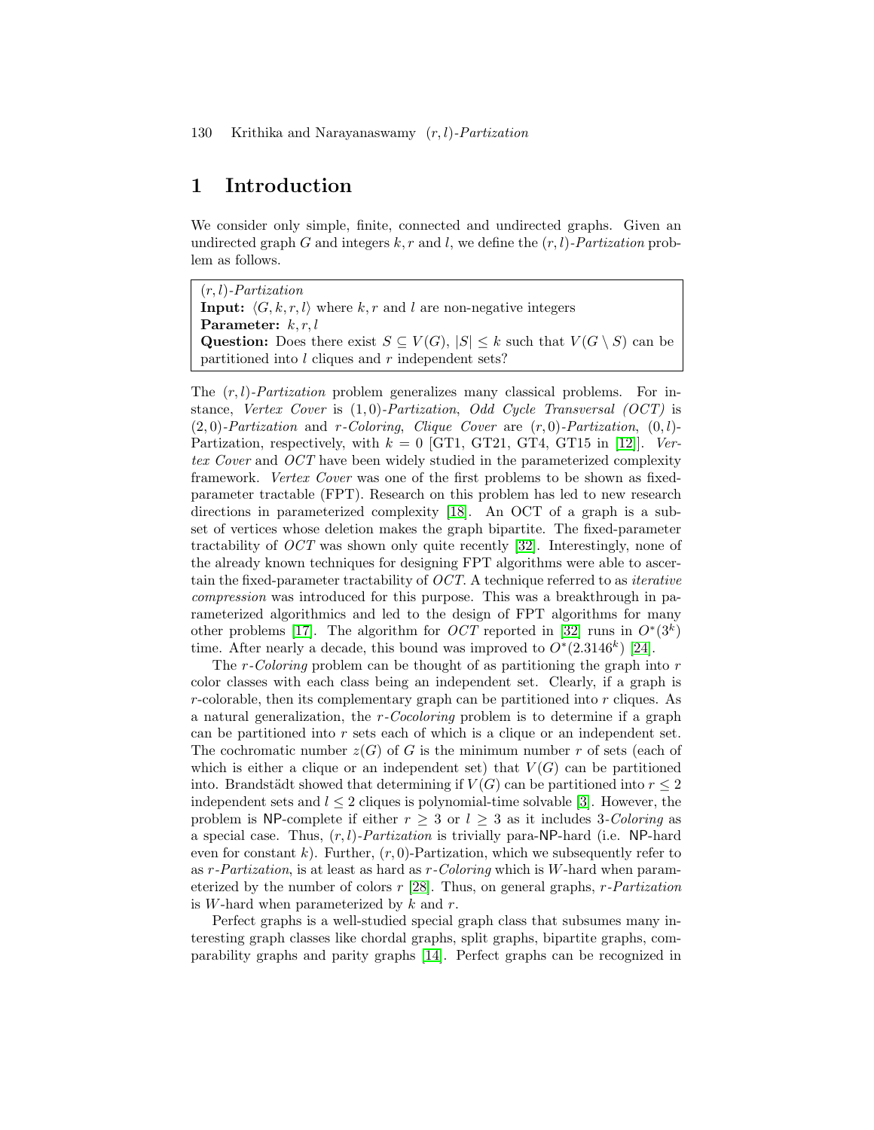## 1 Introduction

We consider only simple, finite, connected and undirected graphs. Given an undirected graph G and integers  $k, r$  and l, we define the  $(r, l)$ -Partization problem as follows.

 $(r, l)$ -Partization **Input:**  $\langle G, k, r, l \rangle$  where k, r and l are non-negative integers Parameter:  $k, r, l$ Question: Does there exist  $S \subseteq V(G)$ ,  $|S| \leq k$  such that  $V(G \setminus S)$  can be partitioned into l cliques and r independent sets?

The  $(r, l)$ -*Partization* problem generalizes many classical problems. For instance, Vertex Cover is  $(1, 0)$ -Partization, Odd Cycle Transversal (OCT) is  $(2, 0)$ -Partization and r-Coloring, Clique Cover are  $(r, 0)$ -Partization,  $(0, l)$ -Partization, respectively, with  $k = 0$  [GT1, GT21, GT4, GT15 in [\[12\]](#page-15-0)]. Vertex Cover and OCT have been widely studied in the parameterized complexity framework. Vertex Cover was one of the first problems to be shown as fixedparameter tractable (FPT). Research on this problem has led to new research directions in parameterized complexity [\[18\]](#page-16-0). An OCT of a graph is a subset of vertices whose deletion makes the graph bipartite. The fixed-parameter tractability of OCT was shown only quite recently [\[32\]](#page-17-0). Interestingly, none of the already known techniques for designing FPT algorithms were able to ascertain the fixed-parameter tractability of OCT. A technique referred to as iterative compression was introduced for this purpose. This was a breakthrough in parameterized algorithmics and led to the design of FPT algorithms for many other problems [\[17\]](#page-16-1). The algorithm for *OCT* reported in [\[32\]](#page-17-0) runs in  $O^*(3^k)$ time. After nearly a decade, this bound was improved to  $O^*(2.3146^k)$  [\[24\]](#page-16-2).

The  $r$ -Coloring problem can be thought of as partitioning the graph into  $r$ color classes with each class being an independent set. Clearly, if a graph is  $r$ -colorable, then its complementary graph can be partitioned into  $r$  cliques. As a natural generalization, the r-Cocoloring problem is to determine if a graph can be partitioned into  $r$  sets each of which is a clique or an independent set. The cochromatic number  $z(G)$  of G is the minimum number r of sets (each of which is either a clique or an independent set) that  $V(G)$  can be partitioned into. Brandstädt showed that determining if  $V(G)$  can be partitioned into  $r \leq 2$ independent sets and  $l \leq 2$  cliques is polynomial-time solvable [\[3\]](#page-15-1). However, the problem is NP-complete if either  $r \geq 3$  or  $l \geq 3$  as it includes 3-Coloring as a special case. Thus,  $(r, l)$ -*Partization* is trivially para-NP-hard (i.e. NP-hard even for constant k). Further,  $(r, 0)$ -Partization, which we subsequently refer to as  $r$ -*Partization*, is at least as hard as  $r$ -Coloring which is W-hard when parameterized by the number of colors  $r$  [\[28\]](#page-17-1). Thus, on general graphs,  $r$ -Partization is W-hard when parameterized by  $k$  and  $r$ .

Perfect graphs is a well-studied special graph class that subsumes many interesting graph classes like chordal graphs, split graphs, bipartite graphs, comparability graphs and parity graphs [\[14\]](#page-16-3). Perfect graphs can be recognized in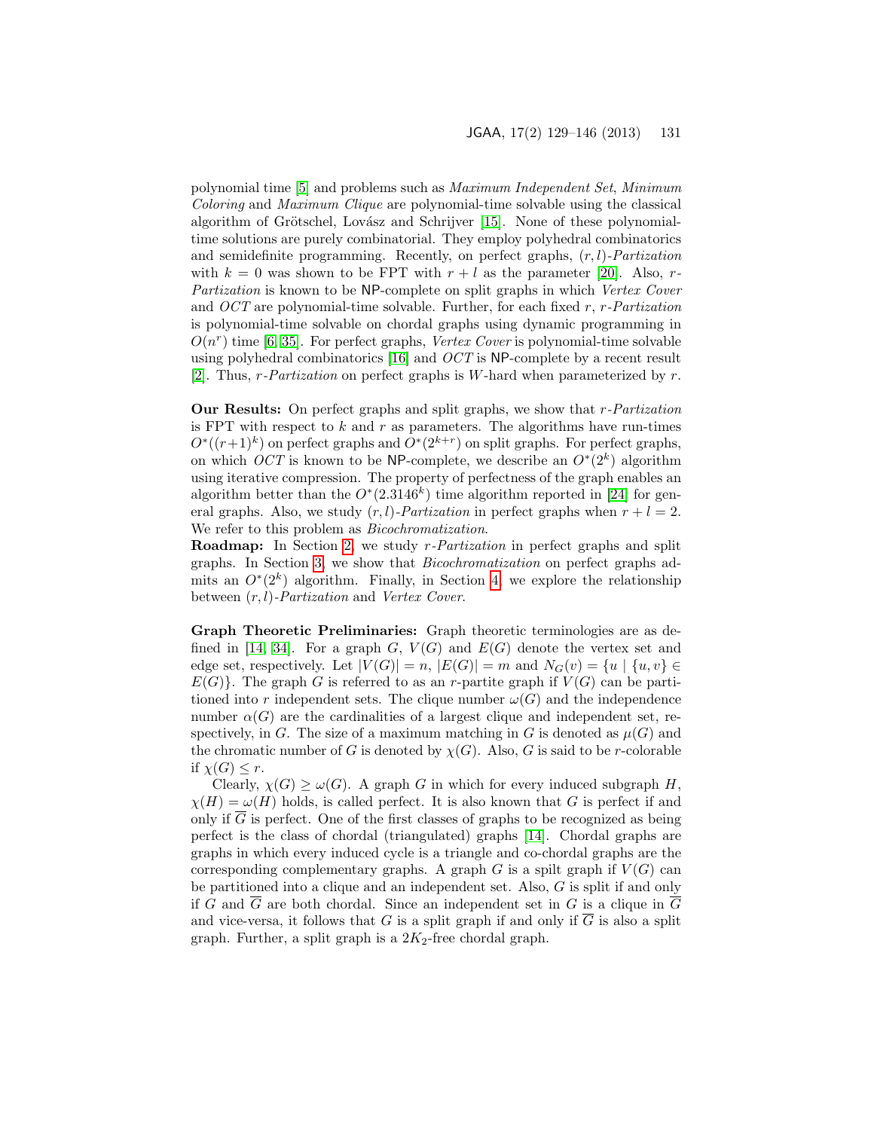polynomial time [\[5\]](#page-15-2) and problems such as Maximum Independent Set, Minimum Coloring and Maximum Clique are polynomial-time solvable using the classical algorithm of Grötschel, Lovász and Schrijver [\[15\]](#page-16-4). None of these polynomialtime solutions are purely combinatorial. They employ polyhedral combinatorics and semidefinite programming. Recently, on perfect graphs,  $(r, l)$ -Partization with  $k = 0$  was shown to be FPT with  $r + l$  as the parameter [\[20\]](#page-16-5). Also, r-Partization is known to be NP-complete on split graphs in which Vertex Cover and  $OCT$  are polynomial-time solvable. Further, for each fixed r, r-Partization is polynomial-time solvable on chordal graphs using dynamic programming in  $O(n^r)$  time [\[6,](#page-15-3) [35\]](#page-17-2). For perfect graphs, Vertex Cover is polynomial-time solvable using polyhedral combinatorics [\[16\]](#page-16-6) and OCT is NP-complete by a recent result [\[2\]](#page-15-4). Thus,  $r$ -*Partization* on perfect graphs is W-hard when parameterized by  $r$ .

Our Results: On perfect graphs and split graphs, we show that r-Partization is FPT with respect to  $k$  and  $r$  as parameters. The algorithms have run-times  $O^*(r+1)^k$  on perfect graphs and  $O^*(2^{k+r})$  on split graphs. For perfect graphs, on which OCT is known to be NP-complete, we describe an  $O^*(2^k)$  algorithm using iterative compression. The property of perfectness of the graph enables an algorithm better than the  $O^*(2.3146^k)$  time algorithm reported in [\[24\]](#page-16-2) for general graphs. Also, we study  $(r, l)$ -*Partization* in perfect graphs when  $r + l = 2$ . We refer to this problem as *Bicochromatization*.

Roadmap: In Section [2,](#page-4-0) we study r-Partization in perfect graphs and split graphs. In Section [3,](#page-7-0) we show that Bicochromatization on perfect graphs admits an  $O^*(2^k)$  algorithm. Finally, in Section [4,](#page-10-0) we explore the relationship between  $(r, l)$ -Partization and Vertex Cover.

Graph Theoretic Preliminaries: Graph theoretic terminologies are as de-fined in [\[14,](#page-16-3) [34\]](#page-17-3). For a graph  $G, V(G)$  and  $E(G)$  denote the vertex set and edge set, respectively. Let  $|V(G)| = n$ ,  $|E(G)| = m$  and  $N_G(v) = \{u \mid \{u, v\} \in$  $E(G)$ . The graph G is referred to as an r-partite graph if  $V(G)$  can be partitioned into r independent sets. The clique number  $\omega(G)$  and the independence number  $\alpha(G)$  are the cardinalities of a largest clique and independent set, respectively, in G. The size of a maximum matching in G is denoted as  $\mu(G)$  and the chromatic number of G is denoted by  $\chi(G)$ . Also, G is said to be r-colorable if  $\chi(G) \leq r$ .

Clearly,  $\chi(G) \ge \omega(G)$ . A graph G in which for every induced subgraph H,  $\chi(H) = \omega(H)$  holds, is called perfect. It is also known that G is perfect if and only if  $\overline{G}$  is perfect. One of the first classes of graphs to be recognized as being perfect is the class of chordal (triangulated) graphs [\[14\]](#page-16-3). Chordal graphs are graphs in which every induced cycle is a triangle and co-chordal graphs are the corresponding complementary graphs. A graph G is a spilt graph if  $V(G)$  can be partitioned into a clique and an independent set. Also, G is split if and only if G and  $\overline{G}$  are both chordal. Since an independent set in G is a clique in  $\overline{G}$ and vice-versa, it follows that G is a split graph if and only if  $\overline{G}$  is also a split graph. Further, a split graph is a  $2K_2$ -free chordal graph.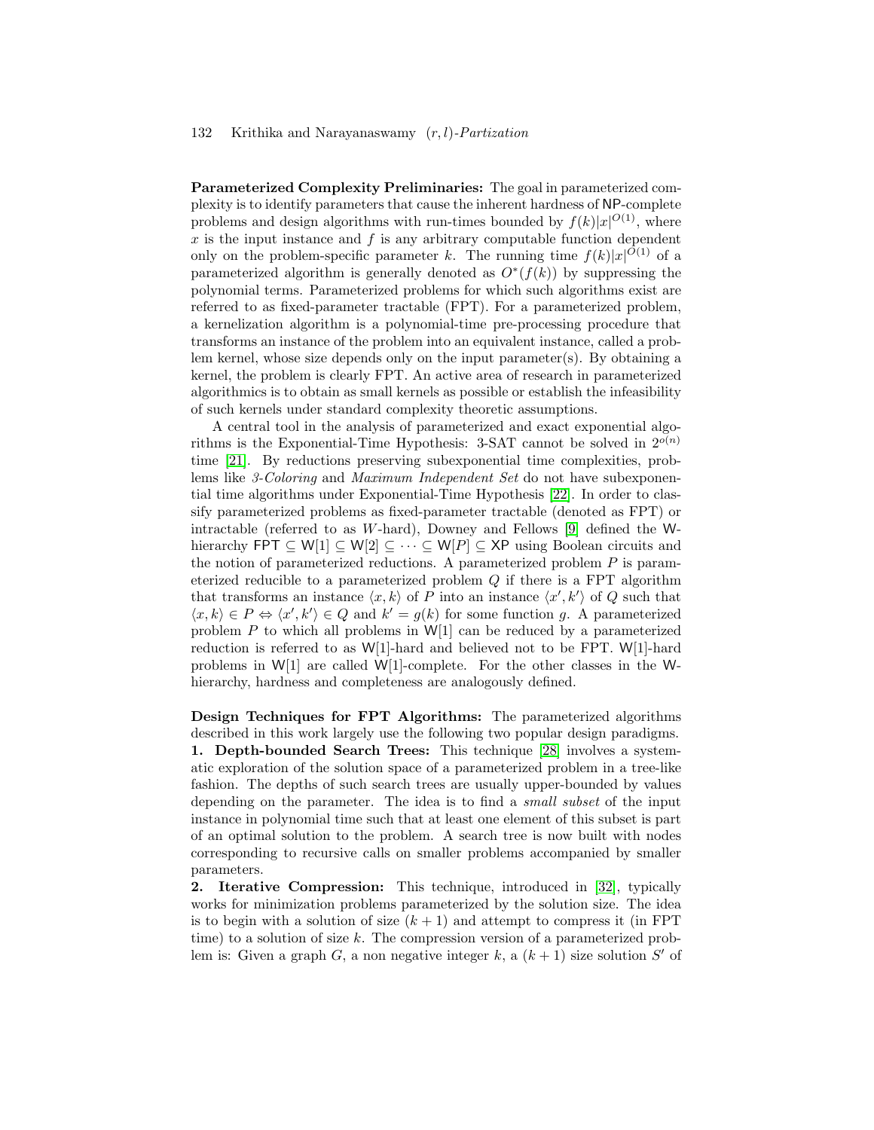Parameterized Complexity Preliminaries: The goal in parameterized complexity is to identify parameters that cause the inherent hardness of NP-complete problems and design algorithms with run-times bounded by  $f(k)|x|^{O(1)}$ , where  $x$  is the input instance and  $f$  is any arbitrary computable function dependent only on the problem-specific parameter k. The running time  $f(k)|x|^{O(1)}$  of a parameterized algorithm is generally denoted as  $O^*(f(k))$  by suppressing the polynomial terms. Parameterized problems for which such algorithms exist are referred to as fixed-parameter tractable (FPT). For a parameterized problem, a kernelization algorithm is a polynomial-time pre-processing procedure that transforms an instance of the problem into an equivalent instance, called a problem kernel, whose size depends only on the input parameter(s). By obtaining a kernel, the problem is clearly FPT. An active area of research in parameterized algorithmics is to obtain as small kernels as possible or establish the infeasibility of such kernels under standard complexity theoretic assumptions.

A central tool in the analysis of parameterized and exact exponential algorithms is the Exponential-Time Hypothesis: 3-SAT cannot be solved in  $2^{o(n)}$ time [\[21\]](#page-16-7). By reductions preserving subexponential time complexities, problems like 3-Coloring and Maximum Independent Set do not have subexponential time algorithms under Exponential-Time Hypothesis [\[22\]](#page-16-8). In order to classify parameterized problems as fixed-parameter tractable (denoted as FPT) or intractable (referred to as W-hard), Downey and Fellows [\[9\]](#page-15-5) defined the Whierarchy FPT  $\subseteq W[1] \subseteq W[2] \subseteq \cdots \subseteq W[P] \subseteq XP$  using Boolean circuits and the notion of parameterized reductions. A parameterized problem  $P$  is parameterized reducible to a parameterized problem  $Q$  if there is a FPT algorithm that transforms an instance  $\langle x, k \rangle$  of P into an instance  $\langle x', k' \rangle$  of Q such that  $\langle x, k \rangle \in P \Leftrightarrow \langle x', k' \rangle \in Q$  and  $k' = g(k)$  for some function g. A parameterized problem P to which all problems in  $W[1]$  can be reduced by a parameterized reduction is referred to as W[1]-hard and believed not to be FPT. W[1]-hard problems in W[1] are called W[1]-complete. For the other classes in the Whierarchy, hardness and completeness are analogously defined.

Design Techniques for FPT Algorithms: The parameterized algorithms described in this work largely use the following two popular design paradigms. 1. Depth-bounded Search Trees: This technique [\[28\]](#page-17-1) involves a systematic exploration of the solution space of a parameterized problem in a tree-like fashion. The depths of such search trees are usually upper-bounded by values depending on the parameter. The idea is to find a *small subset* of the input instance in polynomial time such that at least one element of this subset is part of an optimal solution to the problem. A search tree is now built with nodes corresponding to recursive calls on smaller problems accompanied by smaller parameters.

2. Iterative Compression: This technique, introduced in [\[32\]](#page-17-0), typically works for minimization problems parameterized by the solution size. The idea is to begin with a solution of size  $(k + 1)$  and attempt to compress it (in FPT time) to a solution of size k. The compression version of a parameterized problem is: Given a graph  $G$ , a non negative integer  $k$ , a  $(k + 1)$  size solution  $S'$  of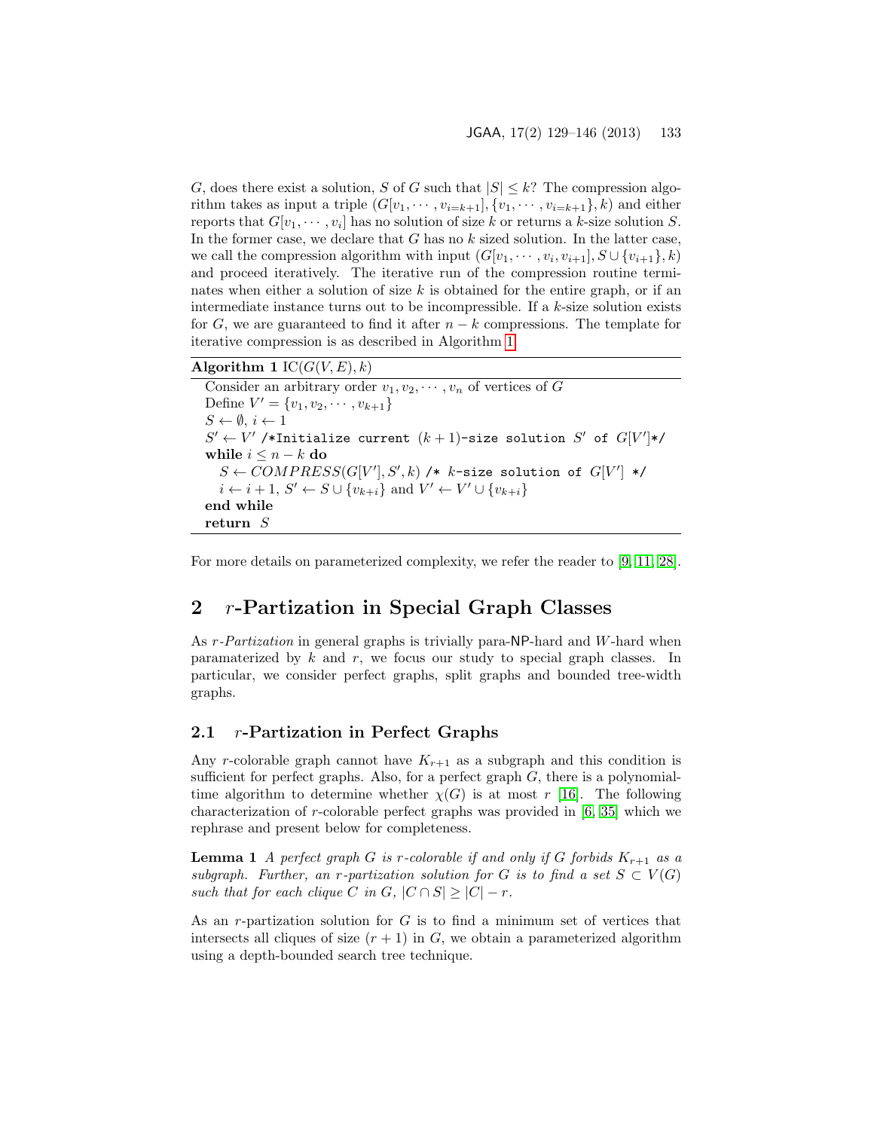G, does there exist a solution, S of G such that  $|S| \leq k$ ? The compression algorithm takes as input a triple  $(G[v_1, \dots, v_{i=k+1}], \{v_1, \dots, v_{i=k+1}\}, k)$  and either reports that  $G[v_1, \dots, v_i]$  has no solution of size k or returns a k-size solution S. In the former case, we declare that  $G$  has no  $k$  sized solution. In the latter case, we call the compression algorithm with input  $(G[v_1, \dots, v_i, v_{i+1}], S \cup \{v_{i+1}\}, k)$ and proceed iteratively. The iterative run of the compression routine terminates when either a solution of size  $k$  is obtained for the entire graph, or if an intermediate instance turns out to be incompressible. If a k-size solution exists for G, we are guaranteed to find it after  $n - k$  compressions. The template for iterative compression is as described in Algorithm [1.](#page-4-1)

### Algorithm 1  $IC(G(V, E), k)$

```
Consider an arbitrary order v_1, v_2, \cdots, v_n of vertices of G
Define V' = \{v_1, v_2, \cdots, v_{k+1}\}\S \leftarrow \emptyset, i \leftarrow 1S' \leftarrow V'/*Initialize current (k+1)-size solution S' of G[V']*/
while i \leq n - k do
   S \leftarrow COMPRESS(G[V'], S', k) /* k-size solution of G[V'] */
   i \leftarrow i+1, S' \leftarrow S \cup \{v_{k+i}\}\text{ and } V' \leftarrow V' \cup \{v_{k+i}\}\end while
return S
```
For more details on parameterized complexity, we refer the reader to [\[9,](#page-15-5) [11,](#page-15-6) [28\]](#page-17-1).

## <span id="page-4-0"></span>2 r-Partization in Special Graph Classes

As r-Partization in general graphs is trivially para-NP-hard and W-hard when paramaterized by  $k$  and  $r$ , we focus our study to special graph classes. In particular, we consider perfect graphs, split graphs and bounded tree-width graphs.

### 2.1 r-Partization in Perfect Graphs

Any r-colorable graph cannot have  $K_{r+1}$  as a subgraph and this condition is sufficient for perfect graphs. Also, for a perfect graph  $G$ , there is a polynomialtime algorithm to determine whether  $\chi(G)$  is at most r [\[16\]](#page-16-6). The following characterization of r-colorable perfect graphs was provided in [\[6,](#page-15-3) [35\]](#page-17-2) which we rephrase and present below for completeness.

**Lemma 1** A perfect graph G is r-colorable if and only if G forbids  $K_{r+1}$  as a subgraph. Further, an r-partization solution for G is to find a set  $S \subset V(G)$ such that for each clique C in G,  $|C \cap S| > |C| - r$ .

As an r-partization solution for  $G$  is to find a minimum set of vertices that intersects all cliques of size  $(r + 1)$  in G, we obtain a parameterized algorithm using a depth-bounded search tree technique.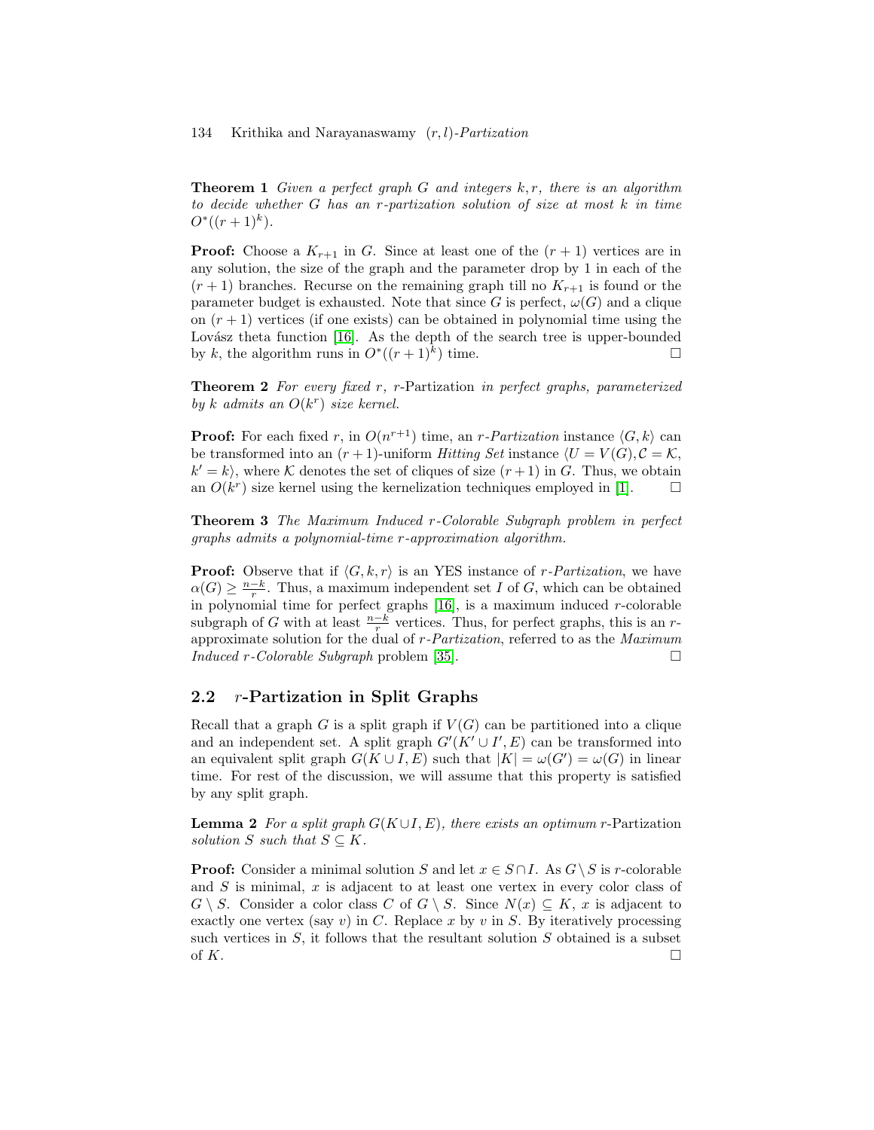**Theorem 1** Given a perfect graph G and integers  $k, r$ , there is an algorithm to decide whether G has an r-partization solution of size at most k in time  $O^*((r+1)^k).$ 

**Proof:** Choose a  $K_{r+1}$  in G. Since at least one of the  $(r + 1)$  vertices are in any solution, the size of the graph and the parameter drop by 1 in each of the  $(r + 1)$  branches. Recurse on the remaining graph till no  $K_{r+1}$  is found or the parameter budget is exhausted. Note that since G is perfect,  $\omega(G)$  and a clique on  $(r + 1)$  vertices (if one exists) can be obtained in polynomial time using the Lovász theta function  $[16]$ . As the depth of the search tree is upper-bounded by k, the algorithm runs in  $O^*((r+1)^k)$  time.

Theorem 2 For every fixed r, r-Partization in perfect graphs, parameterized by k admits an  $O(k^r)$  size kernel.

**Proof:** For each fixed r, in  $O(n^{r+1})$  time, an r-Partization instance  $\langle G, k \rangle$  can be transformed into an  $(r + 1)$ -uniform Hitting Set instance  $\langle U = V(G), C = \mathcal{K},$  $k' = k$ , where K denotes the set of cliques of size  $(r + 1)$  in G. Thus, we obtain an  $O(k^r)$  size kernel using the kernelization techniques employed in [\[1\]](#page-15-7).  $\Box$ 

Theorem 3 The Maximum Induced r-Colorable Subgraph problem in perfect graphs admits a polynomial-time r-approximation algorithm.

**Proof:** Observe that if  $\langle G, k, r \rangle$  is an YES instance of r-Partization, we have  $\alpha(G) \geq \frac{n-k}{r}$ . Thus, a maximum independent set I of G, which can be obtained in polynomial time for perfect graphs  $[16]$ , is a maximum induced r-colorable subgraph of G with at least  $\frac{n-k}{r}$  vertices. Thus, for perfect graphs, this is an rapproximate solution for the dual of r-Partization, referred to as the Maximum  $Induced\ r-Colorable\ Subgraph\ problem\ [35].$  $Induced\ r-Colorable\ Subgraph\ problem\ [35].$  $Induced\ r-Colorable\ Subgraph\ problem\ [35].$ 

### 2.2 r-Partization in Split Graphs

Recall that a graph G is a split graph if  $V(G)$  can be partitioned into a clique and an independent set. A split graph  $G'(K' \cup I', E)$  can be transformed into an equivalent split graph  $G(K \cup I, E)$  such that  $|K| = \omega(G') = \omega(G)$  in linear time. For rest of the discussion, we will assume that this property is satisfied by any split graph.

<span id="page-5-0"></span>**Lemma 2** For a split graph  $G(K \cup I, E)$ , there exists an optimum r-Partization solution S such that  $S \subseteq K$ .

**Proof:** Consider a minimal solution S and let  $x \in S \cap I$ . As  $G \setminus S$  is r-colorable and  $S$  is minimal,  $x$  is adjacent to at least one vertex in every color class of  $G \setminus S$ . Consider a color class C of  $G \setminus S$ . Since  $N(x) \subseteq K$ , x is adjacent to exactly one vertex (say v) in C. Replace x by v in S. By iteratively processing such vertices in  $S$ , it follows that the resultant solution  $S$  obtained is a subset of  $K$ .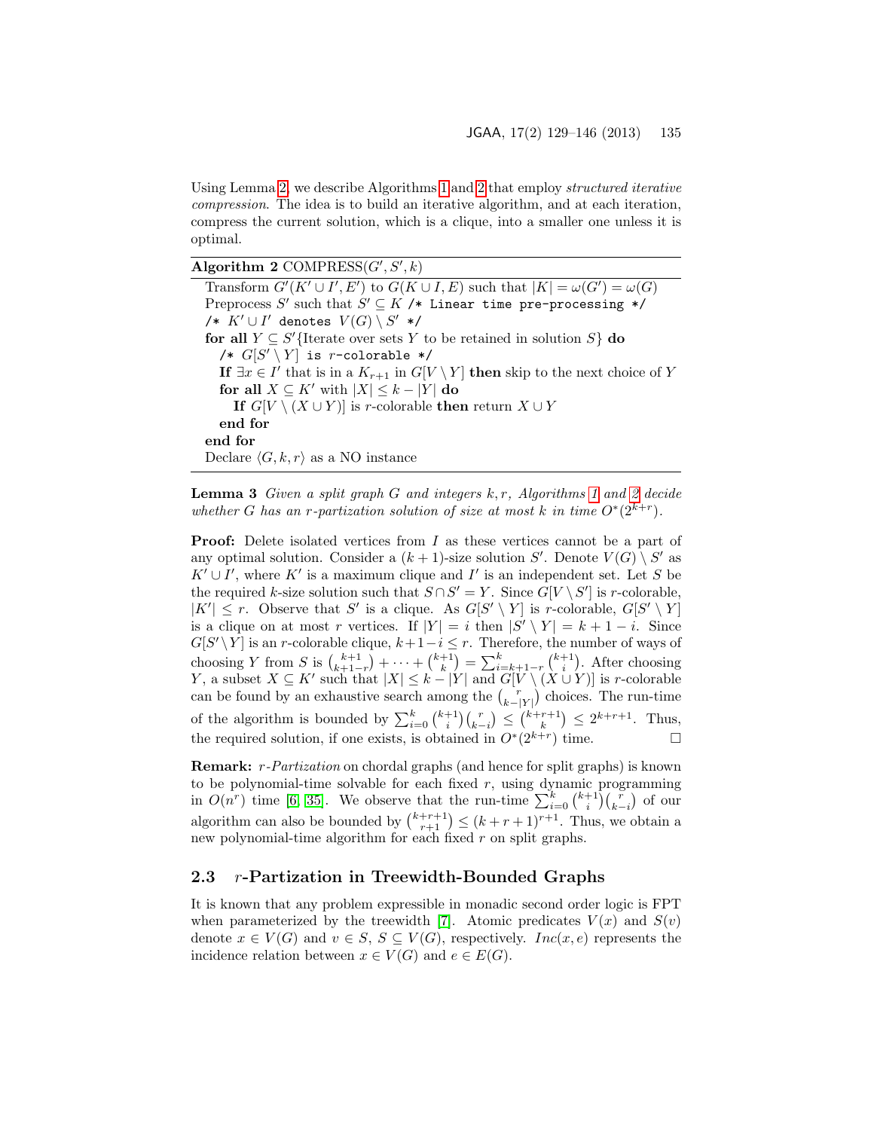Using Lemma [2,](#page-5-0) we describe Algorithms [1](#page-4-1) and [2](#page-6-0) that employ structured iterative compression. The idea is to build an iterative algorithm, and at each iteration, compress the current solution, which is a clique, into a smaller one unless it is optimal.

Algorithm 2  $COMPRESS(G', S', k)$ 

<span id="page-6-0"></span>Transform  $G'(K' \cup I', E')$  to  $G(K \cup I, E)$  such that  $|K| = \omega(G') = \omega(G)$ Preprocess  $S'$  such that  $S' \subseteq K$  /\* Linear time pre-processing \*/  $\mathscr{O}/\ast$   $K'\cup I'$  denotes  $V(G)\setminus S'$  \*/ for all  $Y \subseteq S'$ {Iterate over sets Y to be retained in solution S} do /\*  $G[S' \setminus Y]$  is r-colorable \*/ If  $\exists x \in I'$  that is in a  $K_{r+1}$  in  $G[V \setminus Y]$  then skip to the next choice of Y for all  $X \subseteq K'$  with  $|X| \leq k - |Y|$  do If  $G[V \setminus (X \cup Y)]$  is r-colorable then return  $X \cup Y$ end for end for Declare  $\langle G, k, r \rangle$  as a NO instance

**Lemma 3** Given a split graph G and integers  $k, r$ , Algorithms [1](#page-4-1) and [2](#page-6-0) decide whether G has an r-partization solution of size at most k in time  $O^*(2^{k+r})$ .

**Proof:** Delete isolated vertices from I as these vertices cannot be a part of any optimal solution. Consider a  $(k + 1)$ -size solution S'. Denote  $V(G) \setminus S'$  as  $K' \cup I'$ , where  $K'$  is a maximum clique and  $I'$  is an independent set. Let S be the required k-size solution such that  $S \cap S' = Y$ . Since  $G[V \setminus S']$  is r-colorable,  $|K'| \leq r$ . Observe that S' is a clique. As  $G[S' \setminus Y]$  is r-colorable,  $G[S' \setminus Y]$ is a clique on at most r vertices. If  $|Y| = i$  then  $|S' \setminus Y| = k + 1 - i$ . Since  $G[S' \ Y]$  is an *r*-colorable clique,  $k+1-i \leq r$ . Therefore, the number of ways of choosing Y from S is  $\binom{k+1}{k+1-r} + \cdots + \binom{k+1}{k} = \sum_{i=k+1-r}^{k} \binom{k+1}{i}$ . After choosing Y, a subset  $X \subseteq K'$  such that  $|X| \leq k - |Y|$  and  $G[V \setminus (X \cup Y)]$  is r-colorable can be found by an exhaustive search among the  $\binom{r}{k-|Y|}$  choices. The run-time of the algorithm is bounded by  $\sum_{i=0}^{k} {\binom{k+1}{i}} {\binom{r}{k-i}} \leq {\binom{k+r+1}{k}} \leq 2^{k+r+1}$ . Thus, the required solution, if one exists, is obtained in  $O^*(2^{k+r})$  time.

Remark: r-Partization on chordal graphs (and hence for split graphs) is known to be polynomial-time solvable for each fixed  $r$ , using dynamic programming in  $O(n^r)$  time [\[6,](#page-15-3) [35\]](#page-17-2). We observe that the run-time  $\sum_{i=0}^{k} {k+1 \choose i} {r \choose k-i}$  of our algorithm can also be bounded by  $\binom{k+r+1}{r+1} \leq (k+r+1)^{r+1}$ . Thus, we obtain a new polynomial-time algorithm for each fixed r on split graphs.

### 2.3 r-Partization in Treewidth-Bounded Graphs

It is known that any problem expressible in monadic second order logic is FPT when parameterized by the treewidth [\[7\]](#page-15-8). Atomic predicates  $V(x)$  and  $S(v)$ denote  $x \in V(G)$  and  $v \in S$ ,  $S \subseteq V(G)$ , respectively.  $Inc(x, e)$  represents the incidence relation between  $x \in V(G)$  and  $e \in E(G)$ .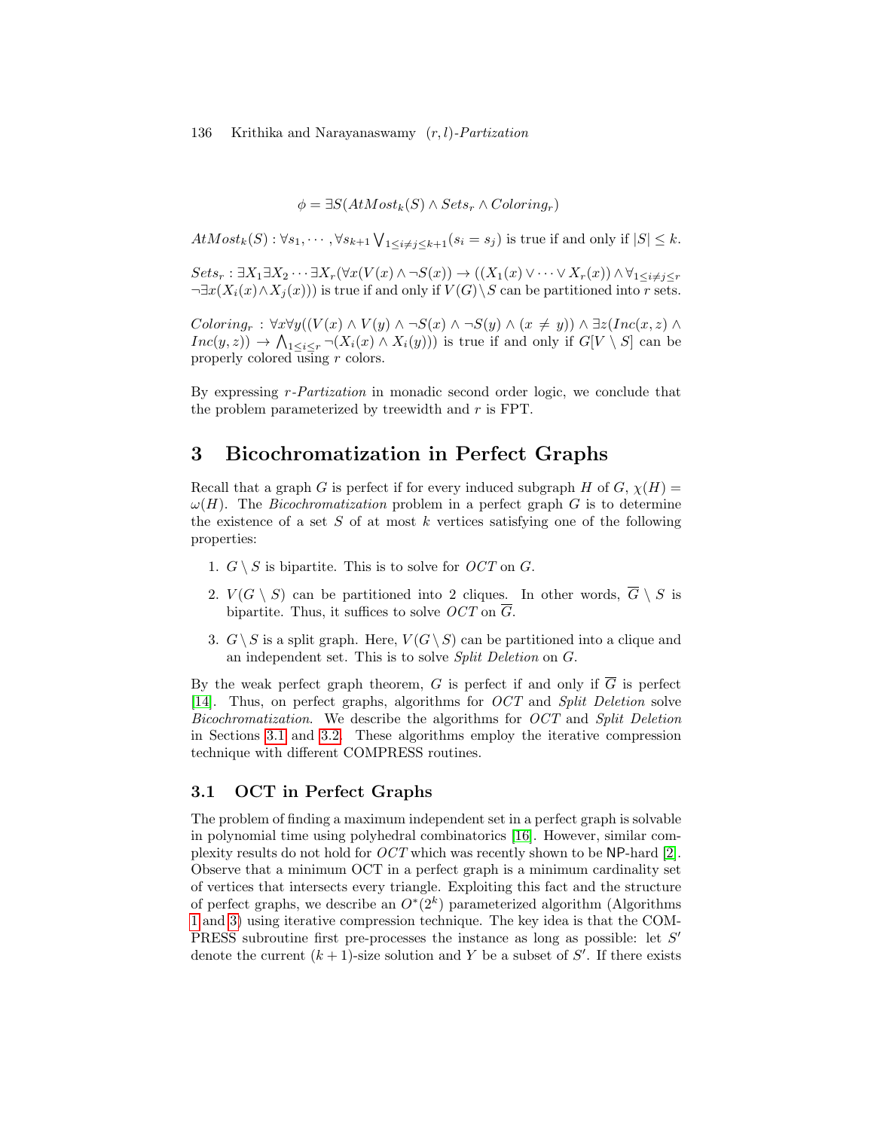$\phi = \exists S(AtMost_k(S) \land Sets_r \land Coloring_r)$ 

 $AtMost_k(S): \forall s_1, \cdots, \forall s_{k+1} \bigvee_{1 \leq i \neq j \leq k+1} (s_i = s_j)$  is true if and only if  $|S| \leq k$ .

 $Sets_r : \exists X_1 \exists X_2 \cdots \exists X_r (\forall x (V(x) \land \neg S(x)) \rightarrow ((X_1(x) \lor \cdots \lor X_r(x)) \land \forall_{1 \leq i \neq j \leq r})$  $\neg \exists x(X_i(x) \land X_i(x))$  is true if and only if  $V(G) \backslash S$  can be partitioned into r sets.

 $Coloring_r : \forall x \forall y ((V(x) \land V(y) \land \neg S(x) \land \neg S(y) \land (x \neq y)) \land \exists z (Inc(x, z) \land \neg S(y) \land (x \neq y))$  $Inc(y, z)) \to \bigwedge_{1 \leq i \leq r} \neg (X_i(x) \land X_i(y)))$  is true if and only if  $G[V \setminus S]$  can be properly colored using r colors.

By expressing r-Partization in monadic second order logic, we conclude that the problem parameterized by treewidth and r is FPT.

## <span id="page-7-0"></span>3 Bicochromatization in Perfect Graphs

Recall that a graph G is perfect if for every induced subgraph H of  $G$ ,  $\chi(H)$  =  $\omega(H)$ . The *Bicochromatization* problem in a perfect graph G is to determine the existence of a set  $S$  of at most  $k$  vertices satisfying one of the following properties:

- 1.  $G \setminus S$  is bipartite. This is to solve for  $OCT$  on G.
- 2.  $V(G \setminus S)$  can be partitioned into 2 cliques. In other words,  $\overline{G} \setminus S$  is bipartite. Thus, it suffices to solve  $OCT$  on  $\overline{G}$ .
- 3.  $G \setminus S$  is a split graph. Here,  $V(G \setminus S)$  can be partitioned into a clique and an independent set. This is to solve Split Deletion on G.

By the weak perfect graph theorem, G is perfect if and only if  $\overline{G}$  is perfect [\[14\]](#page-16-3). Thus, on perfect graphs, algorithms for OCT and Split Deletion solve Bicochromatization. We describe the algorithms for OCT and Split Deletion in Sections [3.1](#page-7-1) and [3.2.](#page-9-0) These algorithms employ the iterative compression technique with different COMPRESS routines.

## <span id="page-7-1"></span>3.1 OCT in Perfect Graphs

The problem of finding a maximum independent set in a perfect graph is solvable in polynomial time using polyhedral combinatorics [\[16\]](#page-16-6). However, similar complexity results do not hold for OCT which was recently shown to be NP-hard [\[2\]](#page-15-4). Observe that a minimum OCT in a perfect graph is a minimum cardinality set of vertices that intersects every triangle. Exploiting this fact and the structure of perfect graphs, we describe an  $O^*(2^k)$  parameterized algorithm (Algorithms [1](#page-4-1) and [3\)](#page-8-0) using iterative compression technique. The key idea is that the COM-PRESS subroutine first pre-processes the instance as long as possible: let  $S'$ denote the current  $(k + 1)$ -size solution and Y be a subset of S'. If there exists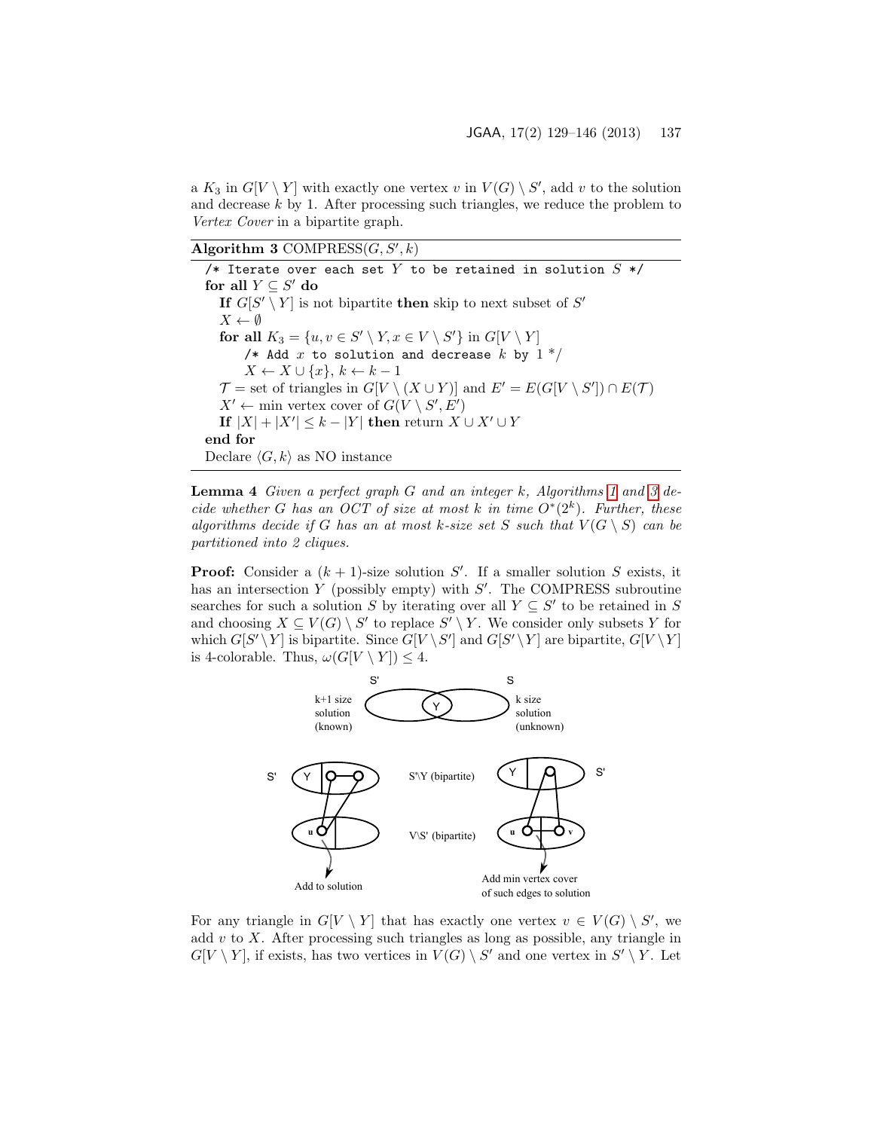a  $K_3$  in  $G[V \setminus Y]$  with exactly one vertex v in  $V(G) \setminus S'$ , add v to the solution and decrease  $k$  by 1. After processing such triangles, we reduce the problem to Vertex Cover in a bipartite graph.

Algorithm 3 COMPRESS $(G, S', k)$ 

<span id="page-8-0"></span>/\* Iterate over each set Y to be retained in solution  $S \times V$ for all  $Y \subseteq S'$  do If  $G[S' \setminus Y]$  is not bipartite then skip to next subset of  $S'$  $X \leftarrow \emptyset$ for all  $K_3 = \{u, v \in S' \setminus Y, x \in V \setminus S'\}$  in  $G[V \setminus Y]$ /\* Add x to solution and decrease k by  $1*/$  $X \leftarrow X \cup \{x\}, k \leftarrow k-1$  $\mathcal{T} =$  set of triangles in  $G[V \setminus (X \cup Y)]$  and  $E' = E(G[V \setminus S']) \cap E(\mathcal{T})$  $X' \leftarrow$  min vertex cover of  $G(V \setminus S', E')$ If  $|X| + |X'| \leq k - |Y|$  then return  $X \cup X' \cup Y$ end for Declare  $\langle G, k \rangle$  as NO instance

<span id="page-8-1"></span>**Lemma 4** Given a perfect graph  $G$  and an integer  $k$ , Algorithms [1](#page-4-1) and [3](#page-8-0) decide whether G has an OCT of size at most k in time  $O^*(2^k)$ . Further, these algorithms decide if G has an at most k-size set S such that  $V(G \setminus S)$  can be partitioned into 2 cliques.

**Proof:** Consider a  $(k + 1)$ -size solution S'. If a smaller solution S exists, it has an intersection  $Y$  (possibly empty) with  $S'$ . The COMPRESS subroutine searches for such a solution S by iterating over all  $Y \subseteq S'$  to be retained in S and choosing  $X \subseteq V(G) \setminus S'$  to replace  $S' \setminus Y$ . We consider only subsets Y for which  $G[S' \ Y]$  is bipartite. Since  $G[V \ Y]$  and  $G[S' \ Y]$  are bipartite,  $G[V \ Y]$ is 4-colorable. Thus,  $\omega(G[V \setminus Y]) \leq 4$ .



For any triangle in  $G[V \setminus Y]$  that has exactly one vertex  $v \in V(G) \setminus S'$ , we add  $v$  to  $X$ . After processing such triangles as long as possible, any triangle in  $G[V \setminus Y]$ , if exists, has two vertices in  $V(G) \setminus S'$  and one vertex in  $S' \setminus Y$ . Let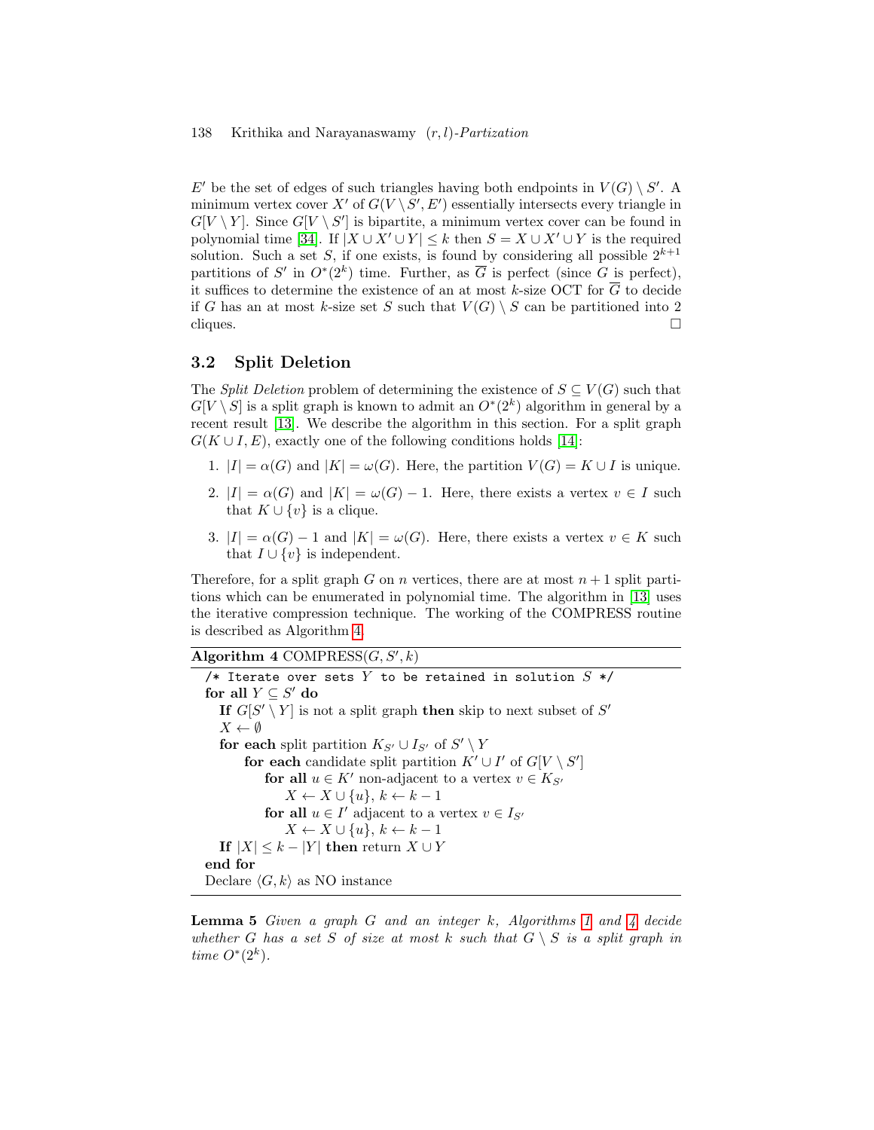E' be the set of edges of such triangles having both endpoints in  $V(G) \setminus S'$ . A minimum vertex cover X' of  $G(V \backslash S', E')$  essentially intersects every triangle in  $G[V \setminus Y]$ . Since  $G[V \setminus S']$  is bipartite, a minimum vertex cover can be found in polynomial time [\[34\]](#page-17-3). If  $|X \cup X' \cup Y| \leq k$  then  $S = X \cup X' \cup Y$  is the required solution. Such a set S, if one exists, is found by considering all possible  $2^{k+1}$ partitions of S' in  $O^*(2^k)$  time. Further, as  $\overline{G}$  is perfect (since G is perfect), it suffices to determine the existence of an at most k-size OCT for  $\overline{G}$  to decide if G has an at most k-size set S such that  $V(G) \setminus S$  can be partitioned into 2  $cliques.$ 

### <span id="page-9-0"></span>3.2 Split Deletion

The *Split Deletion* problem of determining the existence of  $S \subseteq V(G)$  such that  $G[V \setminus S]$  is a split graph is known to admit an  $O^*(2^k)$  algorithm in general by a recent result [\[13\]](#page-16-9). We describe the algorithm in this section. For a split graph  $G(K \cup I, E)$ , exactly one of the following conditions holds [\[14\]](#page-16-3):

- 1.  $|I| = \alpha(G)$  and  $|K| = \omega(G)$ . Here, the partition  $V(G) = K \cup I$  is unique.
- 2.  $|I| = \alpha(G)$  and  $|K| = \omega(G) 1$ . Here, there exists a vertex  $v \in I$  such that  $K \cup \{v\}$  is a clique.
- 3.  $|I| = \alpha(G) 1$  and  $|K| = \omega(G)$ . Here, there exists a vertex  $v \in K$  such that  $I \cup \{v\}$  is independent.

Therefore, for a split graph G on n vertices, there are at most  $n+1$  split partitions which can be enumerated in polynomial time. The algorithm in [\[13\]](#page-16-9) uses the iterative compression technique. The working of the COMPRESS routine is described as Algorithm [4.](#page-9-1)

### Algorithm  $4$  COMPRESS( $G, S', k$ )

<span id="page-9-1"></span>/\* Iterate over sets  $Y$  to be retained in solution  $S * /$ for all  $Y \subseteq S'$  do If  $G[S' \setminus Y]$  is not a split graph then skip to next subset of  $S'$  $X \leftarrow \emptyset$ for each split partition  $K_{S'} \cup I_{S'}$  of  $S' \setminus Y$ for each candidate split partition  $K' \cup I'$  of  $G[V \setminus S']$ for all  $u \in K'$  non-adjacent to a vertex  $v \in K_{S'}$  $X \leftarrow X \cup \{u\}, k \leftarrow k-1$ for all  $u \in I'$  adjacent to a vertex  $v \in I_{S'}$  $X \leftarrow X \cup \{u\}, k \leftarrow k - 1$ If  $|X| \leq k - |Y|$  then return  $X \cup Y$ end for Declare  $\langle G, k \rangle$  as NO instance

<span id="page-9-2"></span>**Lemma 5** Given a graph G and an integer k, Algorithms [1](#page-4-1) and  $\lambda$  decide whether G has a set S of size at most k such that  $G \setminus S$  is a split graph in time  $O^*(2^k)$ .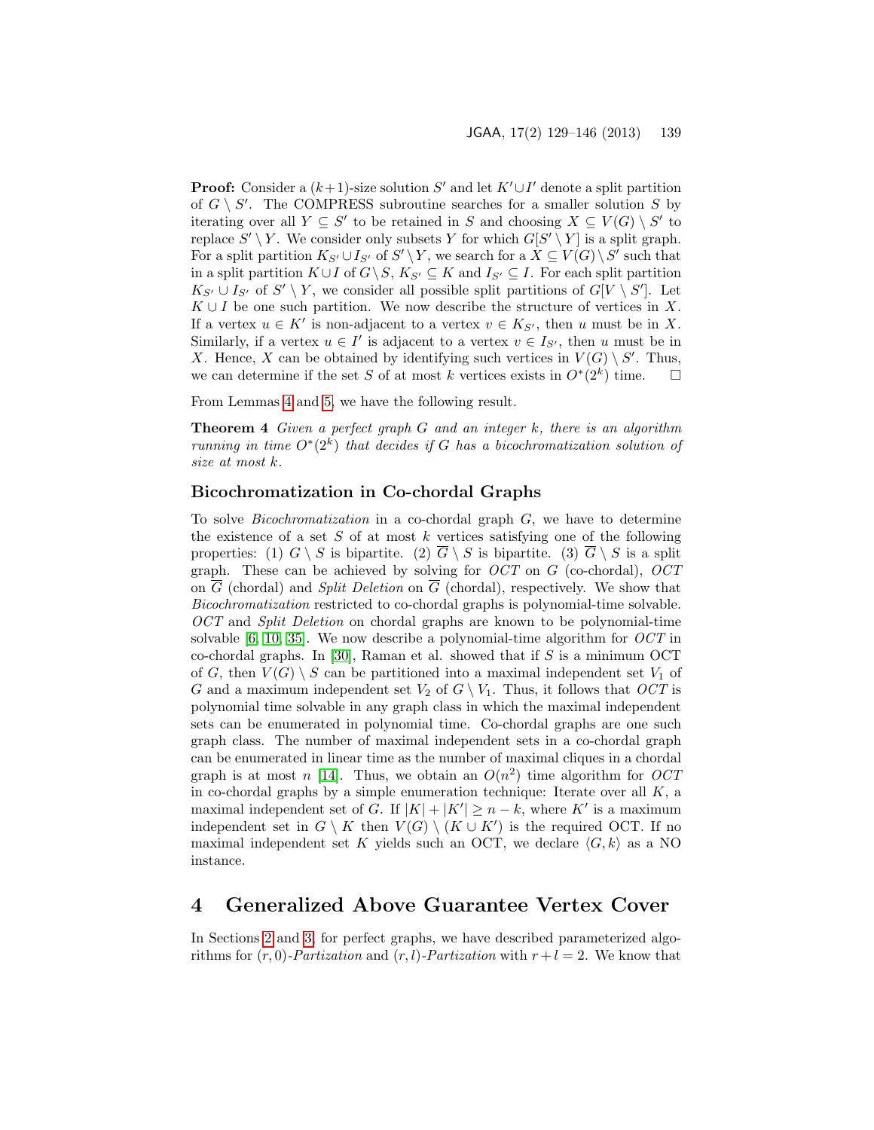**Proof:** Consider a  $(k+1)$ -size solution S' and let  $K' \cup I'$  denote a split partition of  $G \setminus S'$ . The COMPRESS subroutine searches for a smaller solution S by iterating over all  $Y \subseteq S'$  to be retained in S and choosing  $X \subseteq V(G) \setminus S'$  to replace  $S' \setminus Y$ . We consider only subsets Y for which  $G[S' \setminus Y]$  is a split graph. For a split partition  $K_{S'} \cup I_{S'}$  of  $S' \setminus Y$ , we search for a  $X \subseteq V(G) \setminus S'$  such that in a split partition  $K \cup I$  of  $G\backslash S$ ,  $K_{S'} \subseteq K$  and  $I_{S'} \subseteq I$ . For each split partition  $K_{S'} \cup I_{S'}$  of  $S' \setminus Y$ , we consider all possible split partitions of  $G[V \setminus S']$ . Let  $K \cup I$  be one such partition. We now describe the structure of vertices in X. If a vertex  $u \in K'$  is non-adjacent to a vertex  $v \in K_{S'}$ , then u must be in X. Similarly, if a vertex  $u \in I'$  is adjacent to a vertex  $v \in I_{S'}$ , then u must be in X. Hence, X can be obtained by identifying such vertices in  $V(G) \setminus S'$ . Thus, we can determine if the set S of at most k vertices exists in  $O^*(2^k)$  time.  $\square$ 

From Lemmas [4](#page-8-1) and [5,](#page-9-2) we have the following result.

**Theorem 4** Given a perfect graph G and an integer  $k$ , there is an algorithm running in time  $O^*(2^k)$  that decides if G has a bicochromatization solution of size at most k.

### Bicochromatization in Co-chordal Graphs

To solve Bicochromatization in a co-chordal graph G, we have to determine the existence of a set  $S$  of at most  $k$  vertices satisfying one of the following properties: (1)  $G \setminus S$  is bipartite. (2)  $\overline{G} \setminus S$  is bipartite. (3)  $\overline{G} \setminus S$  is a split graph. These can be achieved by solving for  $OCT$  on G (co-chordal),  $OCT$ on  $\overline{G}$  (chordal) and *Split Deletion* on  $\overline{G}$  (chordal), respectively. We show that Bicochromatization restricted to co-chordal graphs is polynomial-time solvable. OCT and Split Deletion on chordal graphs are known to be polynomial-time solvable  $[6, 10, 35]$  $[6, 10, 35]$  $[6, 10, 35]$ . We now describe a polynomial-time algorithm for  $OCT$  in co-chordal graphs. In [\[30\]](#page-17-4), Raman et al. showed that if  $S$  is a minimum OCT of G, then  $V(G) \setminus S$  can be partitioned into a maximal independent set  $V_1$  of G and a maximum independent set  $V_2$  of  $G \setminus V_1$ . Thus, it follows that OCT is polynomial time solvable in any graph class in which the maximal independent sets can be enumerated in polynomial time. Co-chordal graphs are one such graph class. The number of maximal independent sets in a co-chordal graph can be enumerated in linear time as the number of maximal cliques in a chordal graph is at most n [\[14\]](#page-16-3). Thus, we obtain an  $O(n^2)$  time algorithm for  $OCT$ in co-chordal graphs by a simple enumeration technique: Iterate over all  $K$ , a maximal independent set of G. If  $|K| + |K'| \ge n - k$ , where K' is a maximum independent set in  $G \setminus K$  then  $V(G) \setminus (K \cup K')$  is the required OCT. If no maximal independent set K yields such an OCT, we declare  $\langle G, k \rangle$  as a NO instance.

## <span id="page-10-0"></span>4 Generalized Above Guarantee Vertex Cover

In Sections [2](#page-4-0) and [3,](#page-7-0) for perfect graphs, we have described parameterized algorithms for  $(r, 0)$ -*Partization* and  $(r, l)$ -*Partization* with  $r + l = 2$ . We know that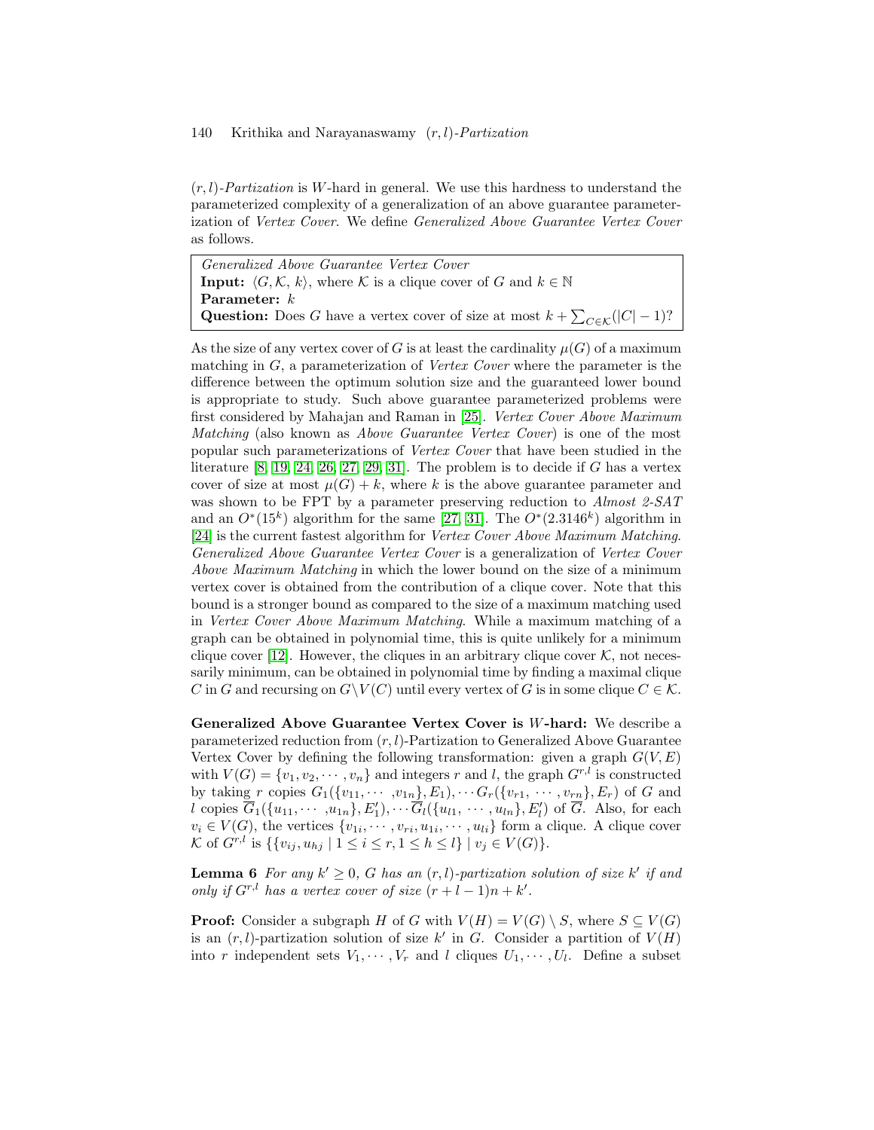$(r, l)$ -Partization is W-hard in general. We use this hardness to understand the parameterized complexity of a generalization of an above guarantee parameterization of Vertex Cover. We define Generalized Above Guarantee Vertex Cover as follows.

Generalized Above Guarantee Vertex Cover **Input:**  $\langle G, \mathcal{K}, k \rangle$ , where K is a clique cover of G and  $k \in \mathbb{N}$ Parameter:  $k$ Question: Does G have a vertex cover of size at most  $k + \sum_{C \in \mathcal{K}} (|C| - 1)$ ?

As the size of any vertex cover of G is at least the cardinality  $\mu(G)$  of a maximum matching in  $G$ , a parameterization of *Vertex Cover* where the parameter is the difference between the optimum solution size and the guaranteed lower bound is appropriate to study. Such above guarantee parameterized problems were first considered by Mahajan and Raman in [\[25\]](#page-16-10). Vertex Cover Above Maximum Matching (also known as *Above Guarantee Vertex Cover*) is one of the most popular such parameterizations of Vertex Cover that have been studied in the literature  $[8, 19, 24, 26, 27, 29, 31]$  $[8, 19, 24, 26, 27, 29, 31]$  $[8, 19, 24, 26, 27, 29, 31]$  $[8, 19, 24, 26, 27, 29, 31]$  $[8, 19, 24, 26, 27, 29, 31]$  $[8, 19, 24, 26, 27, 29, 31]$  $[8, 19, 24, 26, 27, 29, 31]$ . The problem is to decide if G has a vertex cover of size at most  $\mu(G) + k$ , where k is the above guarantee parameter and was shown to be FPT by a parameter preserving reduction to Almost 2-SAT and an  $O^*(15^k)$  algorithm for the same [\[27,](#page-17-6) [31\]](#page-17-8). The  $O^*(2.3146^k)$  algorithm in [\[24\]](#page-16-2) is the current fastest algorithm for Vertex Cover Above Maximum Matching. Generalized Above Guarantee Vertex Cover is a generalization of Vertex Cover Above Maximum Matching in which the lower bound on the size of a minimum vertex cover is obtained from the contribution of a clique cover. Note that this bound is a stronger bound as compared to the size of a maximum matching used in Vertex Cover Above Maximum Matching. While a maximum matching of a graph can be obtained in polynomial time, this is quite unlikely for a minimum clique cover [\[12\]](#page-15-0). However, the cliques in an arbitrary clique cover  $K$ , not necessarily minimum, can be obtained in polynomial time by finding a maximal clique C in G and recursing on  $G\backslash V(C)$  until every vertex of G is in some clique  $C \in \mathcal{K}$ .

Generalized Above Guarantee Vertex Cover is W-hard: We describe a parameterized reduction from  $(r, l)$ -Partization to Generalized Above Guarantee Vertex Cover by defining the following transformation: given a graph  $G(V, E)$ with  $V(G) = \{v_1, v_2, \cdots, v_n\}$  and integers r and l, the graph  $G^{r,l}$  is constructed by taking r copies  $G_1({v_1, \cdots, v_{1n}}, E_1), \cdots G_r({v_{r1}, \cdots, v_{rn}}, E_r)$  of G and l copies  $\overline{G}_1(\{u_{11}, \cdots, u_{1n}\}, E'_1), \cdots \overline{G}_l(\{u_{l1}, \cdots, u_{ln}\}, E'_l)$  of  $\overline{G}$ . Also, for each  $v_i \in V(G)$ , the vertices  $\{v_{1i}, \dots, v_{ri}, u_{1i}, \dots, u_{li}\}$  form a clique. A clique cover K of  $G^{r,l}$  is  $\{\{v_{ij}, u_{hj} \mid 1 \le i \le r, 1 \le h \le l\} \mid v_j \in V(G)\}.$ 

<span id="page-11-0"></span>**Lemma 6** For any  $k' \geq 0$ , G has an  $(r, l)$ -partization solution of size k' if and only if  $G^{r,l}$  has a vertex cover of size  $(r+l-1)n+k'$ .

**Proof:** Consider a subgraph H of G with  $V(H) = V(G) \setminus S$ , where  $S \subseteq V(G)$ is an  $(r, l)$ -partization solution of size k' in G. Consider a partition of  $V(H)$ into r independent sets  $V_1, \dots, V_r$  and l cliques  $U_1, \dots, U_l$ . Define a subset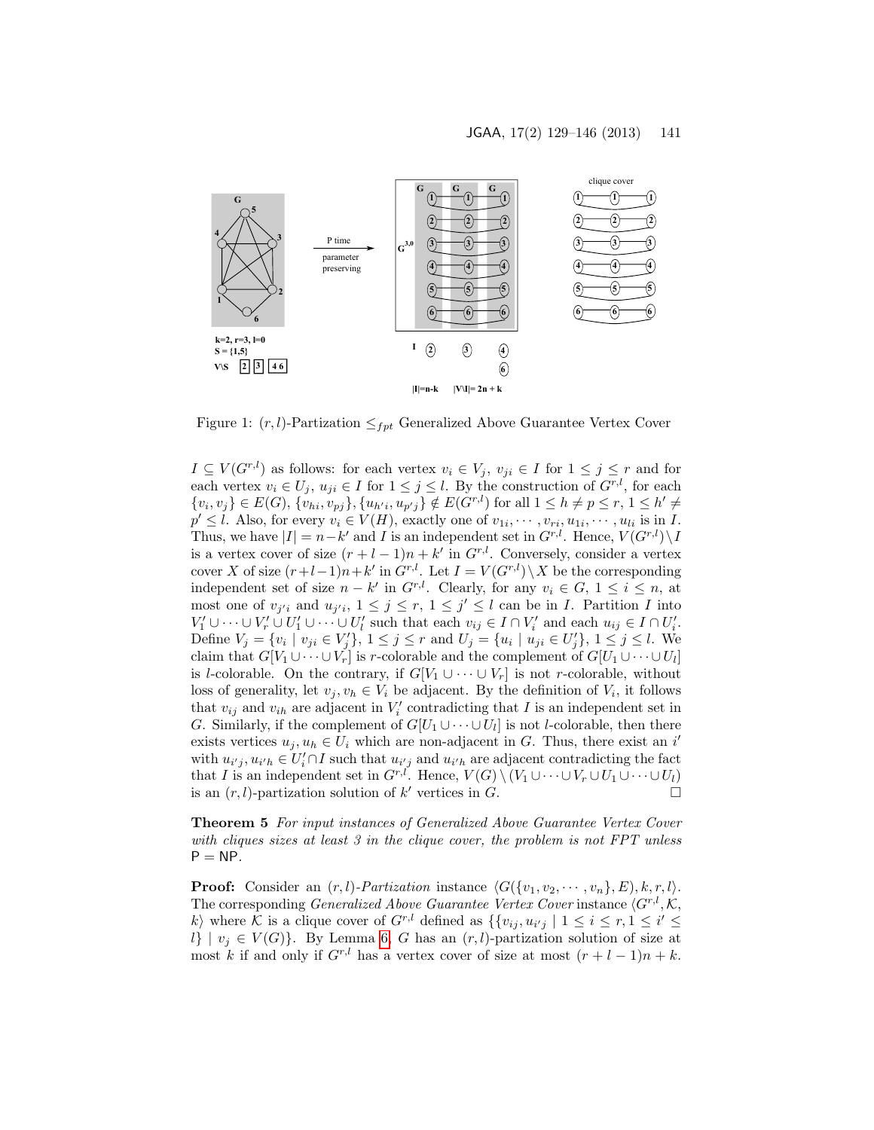

Figure 1:  $(r, l)$ -Partization  $\leq_{fpt}$  Generalized Above Guarantee Vertex Cover

 $I \subseteq V(G^{r,l})$  as follows: for each vertex  $v_i \in V_j$ ,  $v_{ji} \in I$  for  $1 \leq j \leq r$  and for each vertex  $v_i \in U_j$ ,  $u_{ji} \in I$  for  $1 \leq j \leq l$ . By the construction of  $G^{r,l}$ , for each  $\{v_i, v_j\} \in E(G), \{v_{hi}, v_{pj}\}, \{u_{h'i}, u_{p'j}\} \notin E(G^{r,l})$  for all  $1 \le h \ne p \le r, 1 \le h' \ne$  $p' \leq l$ . Also, for every  $v_i \in V(H)$ , exactly one of  $v_{1i}, \dots, v_{ri}, u_{1i}, \dots, u_{li}$  is in I. Thus, we have  $|I| = n - k'$  and I is an independent set in  $G^{r,l}$ . Hence,  $V(G^{r,l}) \setminus I$ is a vertex cover of size  $(r + l - 1)n + k'$  in  $G^{r,l}$ . Conversely, consider a vertex cover X of size  $(r+l-1)n+k'$  in  $G^{r,l}$ . Let  $I = V(G^{r,l})\setminus X$  be the corresponding independent set of size  $n - k'$  in  $G^{r,l}$ . Clearly, for any  $v_i \in G$ ,  $1 \le i \le n$ , at most one of  $v_{j'i}$  and  $u_{j'i}$ ,  $1 \leq j \leq r$ ,  $1 \leq j' \leq l$  can be in *I*. Partition *I* into  $V'_1 \cup \cdots \cup V'_r \cup U'_1 \cup \cdots \cup U'_l$  such that each  $v_{ij} \in I \cap V'_i$  and each  $u_{ij} \in I \cap U'_i$ . Define  $V_j = \{v_i \mid v_{ji} \in V'_j\}, 1 \le j \le r$  and  $U_j = \{u_i \mid u_{ji} \in U'_j\}, 1 \le j \le l$ . We claim that  $G[V_1 \cup \cdots \cup V_r]$  is r-colorable and the complement of  $G[U_1 \cup \cdots \cup U_l]$ is l-colorable. On the contrary, if  $G[V_1 \cup \cdots \cup V_r]$  is not r-colorable, without loss of generality, let  $v_j, v_h \in V_i$  be adjacent. By the definition of  $V_i$ , it follows that  $v_{ij}$  and  $v_{ih}$  are adjacent in  $V_i'$  contradicting that I is an independent set in G. Similarly, if the complement of  $G[U_1 \cup \cdots \cup U_l]$  is not *l*-colorable, then there exists vertices  $u_j, u_h \in U_i$  which are non-adjacent in G. Thus, there exist an i' with  $u_{i'j}, u_{i'h} \in U_i' \cap I$  such that  $u_{i'j}$  and  $u_{i'h}$  are adjacent contradicting the fact that I is an independent set in  $G^{r,l}$ . Hence,  $V(G) \setminus (V_1 \cup \cdots \cup V_r \cup U_1 \cup \cdots \cup U_l)$ is an  $(r, l)$ -partization solution of k' vertices in  $\tilde{G}$ .

<span id="page-12-0"></span>Theorem 5 For input instances of Generalized Above Guarantee Vertex Cover with cliques sizes at least 3 in the clique cover, the problem is not FPT unless  $P = NP$ .

**Proof:** Consider an  $(r, l)$ -Partization instance  $\langle G({v_1, v_2, \cdots, v_n}, E), k, r, l \rangle$ . The corresponding *Generalized Above Guarantee Vertex Cover* instance  $\langle G^{r,l}, \mathcal{K}, \rangle$ k) where K is a clique cover of  $G^{r,l}$  defined as  $\{v_{ij}, u_{i'j} \mid 1 \le i \le r, 1 \le i' \le r\}$ l} |  $v_j \in V(G)$ . By Lemma [6,](#page-11-0) G has an  $(r, l)$ -partization solution of size at most k if and only if  $G^{r,l}$  has a vertex cover of size at most  $(r+l-1)n+k$ .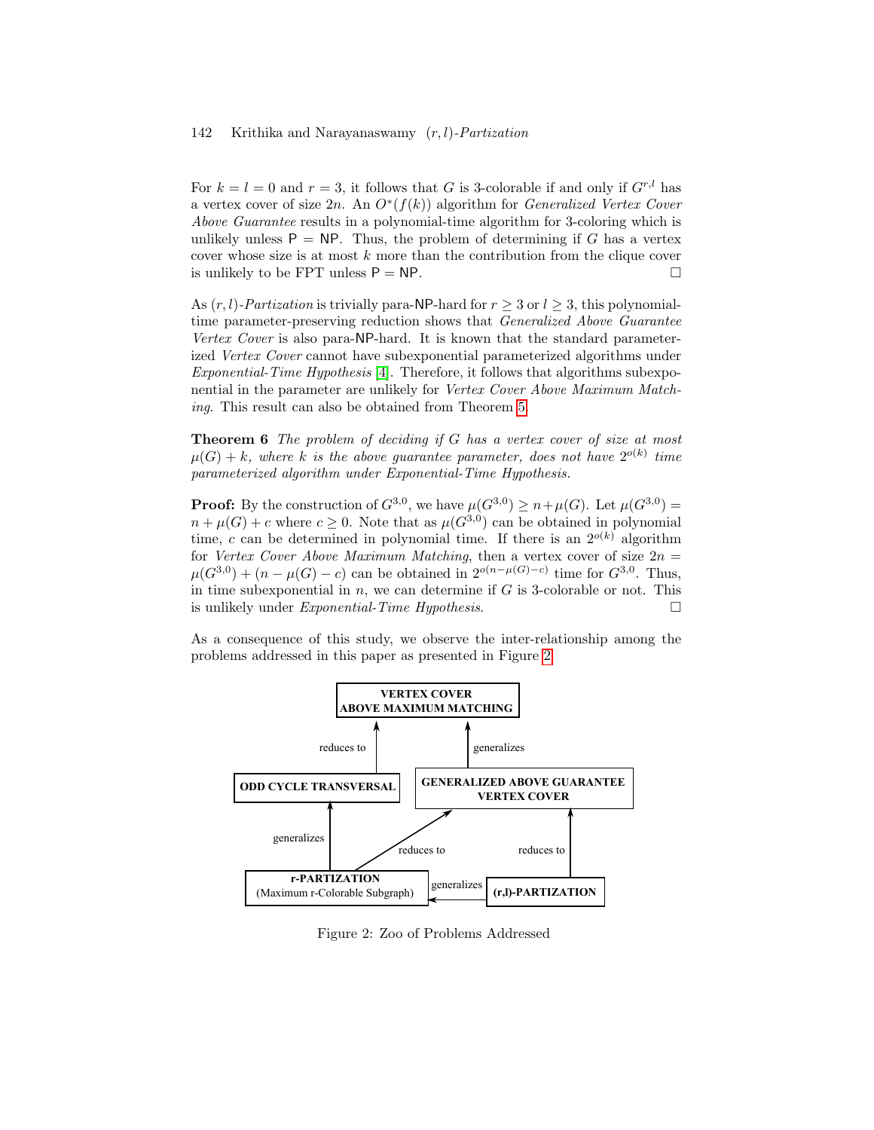For  $k = l = 0$  and  $r = 3$ , it follows that G is 3-colorable if and only if  $G^{r,l}$  has a vertex cover of size 2n. An  $O^*(f(k))$  algorithm for *Generalized Vertex Cover* Above Guarantee results in a polynomial-time algorithm for 3-coloring which is unlikely unless  $P = NP$ . Thus, the problem of determining if G has a vertex cover whose size is at most k more than the contribution from the clique cover is unlikely to be FPT unless  $P = NP$ .

As  $(r, l)$ -*Partization* is trivially para-NP-hard for  $r > 3$  or  $l > 3$ , this polynomialtime parameter-preserving reduction shows that Generalized Above Guarantee Vertex Cover is also para-NP-hard. It is known that the standard parameterized Vertex Cover cannot have subexponential parameterized algorithms under Exponential-Time Hypothesis [\[4\]](#page-15-11). Therefore, it follows that algorithms subexponential in the parameter are unlikely for Vertex Cover Above Maximum Matching. This result can also be obtained from Theorem [5.](#page-12-0)

Theorem 6 The problem of deciding if G has a vertex cover of size at most  $\mu(G) + k$ , where k is the above guarantee parameter, does not have  $2^{o(k)}$  time parameterized algorithm under Exponential-Time Hypothesis.

**Proof:** By the construction of  $G^{3,0}$ , we have  $\mu(G^{3,0}) \geq n + \mu(G)$ . Let  $\mu(G^{3,0}) =$  $n + \mu(G) + c$  where  $c \geq 0$ . Note that as  $\mu(G^{3,0})$  can be obtained in polynomial time, c can be determined in polynomial time. If there is an  $2^{o(k)}$  algorithm for Vertex Cover Above Maximum Matching, then a vertex cover of size  $2n =$  $\mu(G^{3,0}) + (n - \mu(G) - c)$  can be obtained in  $2^{o(n - \mu(G) - c)}$  time for  $G^{3,0}$ . Thus, in time subexponential in  $n$ , we can determine if  $G$  is 3-colorable or not. This is unlikely under *Exponential-Time Hypothesis.* 

As a consequence of this study, we observe the inter-relationship among the problems addressed in this paper as presented in Figure [2.](#page-13-0)



<span id="page-13-0"></span>Figure 2: Zoo of Problems Addressed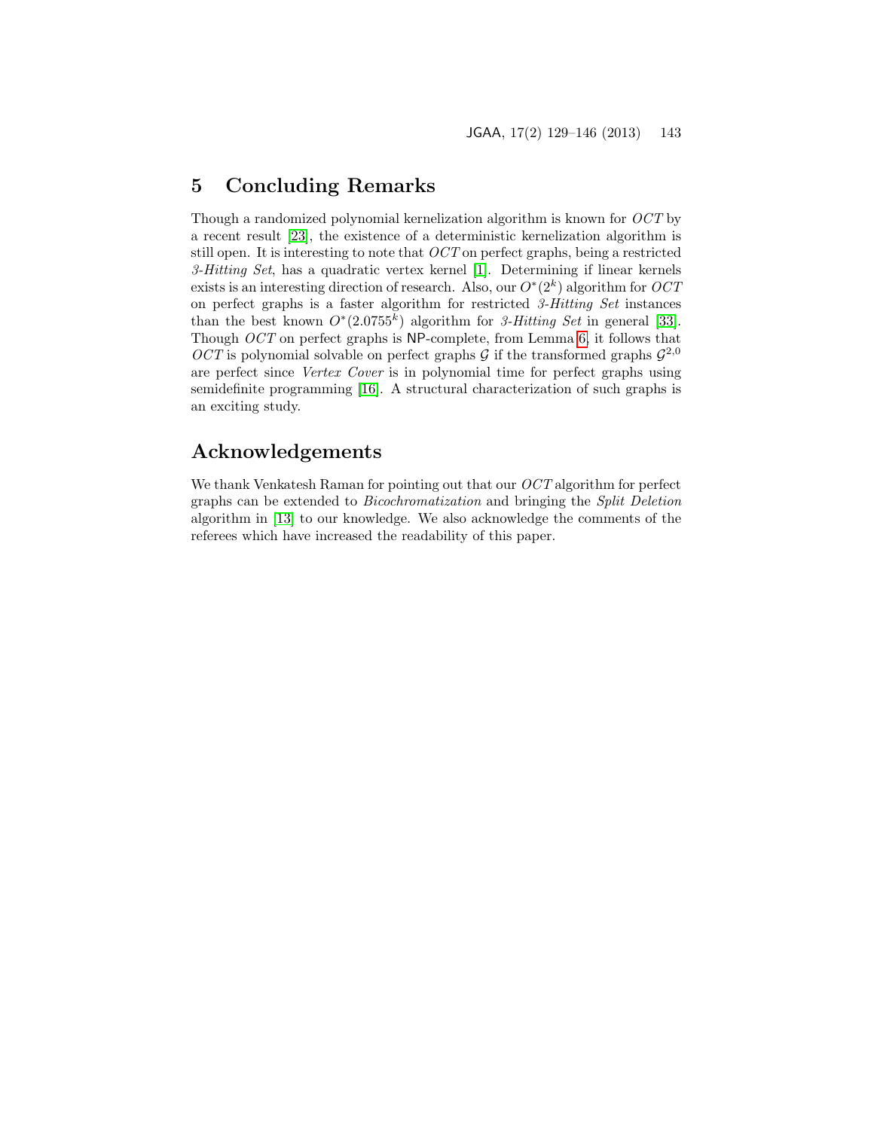## 5 Concluding Remarks

Though a randomized polynomial kernelization algorithm is known for OCT by a recent result [\[23\]](#page-16-12), the existence of a deterministic kernelization algorithm is still open. It is interesting to note that OCT on perfect graphs, being a restricted 3-Hitting Set, has a quadratic vertex kernel [\[1\]](#page-15-7). Determining if linear kernels exists is an interesting direction of research. Also, our  $O^*(2^k)$  algorithm for  $OCT$ on perfect graphs is a faster algorithm for restricted 3-Hitting Set instances than the best known  $O^*(2.0755^k)$  algorithm for 3-Hitting Set in general [\[33\]](#page-17-9). Though OCT on perfect graphs is NP-complete, from Lemma [6,](#page-11-0) it follows that OCT is polynomial solvable on perfect graphs G if the transformed graphs  $\mathcal{G}^{2,0}$ are perfect since Vertex Cover is in polynomial time for perfect graphs using semidefinite programming [\[16\]](#page-16-6). A structural characterization of such graphs is an exciting study.

## Acknowledgements

We thank Venkatesh Raman for pointing out that our *OCT* algorithm for perfect graphs can be extended to Bicochromatization and bringing the Split Deletion algorithm in [\[13\]](#page-16-9) to our knowledge. We also acknowledge the comments of the referees which have increased the readability of this paper.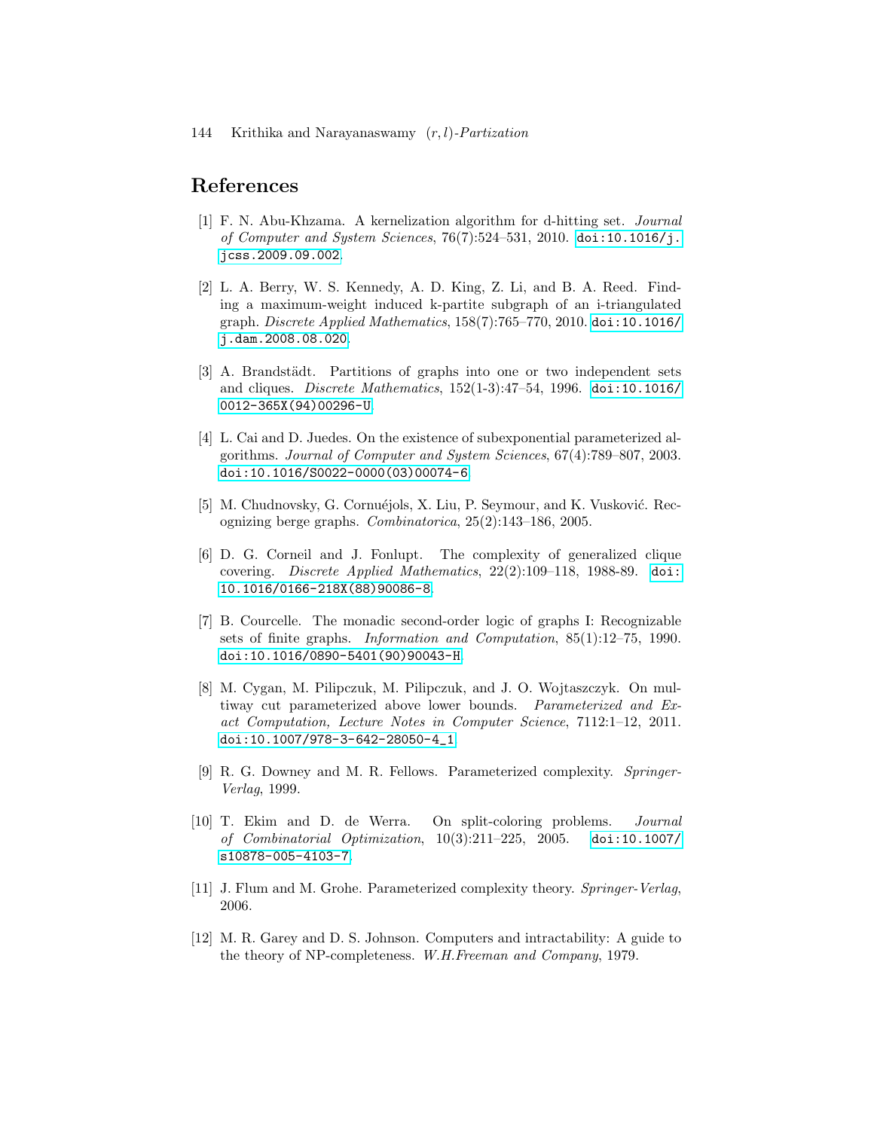## References

- <span id="page-15-7"></span>[1] F. N. Abu-Khzama. A kernelization algorithm for d-hitting set. Journal of Computer and System Sciences, 76(7):524–531, 2010. [doi:10.1016/j.](http://dx.doi.org/10.1016/j.jcss.2009.09.002) [jcss.2009.09.002](http://dx.doi.org/10.1016/j.jcss.2009.09.002).
- <span id="page-15-4"></span>[2] L. A. Berry, W. S. Kennedy, A. D. King, Z. Li, and B. A. Reed. Finding a maximum-weight induced k-partite subgraph of an i-triangulated graph. Discrete Applied Mathematics, 158(7):765–770, 2010. [doi:10.1016/](http://dx.doi.org/10.1016/j.dam.2008.08.020) [j.dam.2008.08.020](http://dx.doi.org/10.1016/j.dam.2008.08.020).
- <span id="page-15-1"></span>[3] A. Brandstädt. Partitions of graphs into one or two independent sets and cliques. Discrete Mathematics, 152(1-3):47–54, 1996. [doi:10.1016/](http://dx.doi.org/10.1016/0012-365X(94)00296-U) [0012-365X\(94\)00296-U](http://dx.doi.org/10.1016/0012-365X(94)00296-U).
- <span id="page-15-11"></span>[4] L. Cai and D. Juedes. On the existence of subexponential parameterized algorithms. Journal of Computer and System Sciences, 67(4):789–807, 2003. [doi:10.1016/S0022-0000\(03\)00074-6](http://dx.doi.org/10.1016/S0022-0000(03)00074-6).
- <span id="page-15-2"></span>[5] M. Chudnovsky, G. Cornuéjols, X. Liu, P. Seymour, and K. Vusković. Recognizing berge graphs. Combinatorica, 25(2):143–186, 2005.
- <span id="page-15-3"></span>[6] D. G. Corneil and J. Fonlupt. The complexity of generalized clique covering. Discrete Applied Mathematics, 22(2):109–118, 1988-89. [doi:](http://dx.doi.org/10.1016/0166-218X(88)90086-8) [10.1016/0166-218X\(88\)90086-8](http://dx.doi.org/10.1016/0166-218X(88)90086-8).
- <span id="page-15-8"></span>[7] B. Courcelle. The monadic second-order logic of graphs I: Recognizable sets of finite graphs. Information and Computation, 85(1):12–75, 1990. [doi:10.1016/0890-5401\(90\)90043-H](http://dx.doi.org/10.1016/0890-5401(90)90043-H).
- <span id="page-15-10"></span>[8] M. Cygan, M. Pilipczuk, M. Pilipczuk, and J. O. Wojtaszczyk. On multiway cut parameterized above lower bounds. Parameterized and Exact Computation, Lecture Notes in Computer Science, 7112:1–12, 2011. [doi:10.1007/978-3-642-28050-4\\_1](http://dx.doi.org/10.1007/978-3-642-28050-4_1).
- <span id="page-15-5"></span>[9] R. G. Downey and M. R. Fellows. Parameterized complexity. Springer-Verlag, 1999.
- <span id="page-15-9"></span>[10] T. Ekim and D. de Werra. On split-coloring problems. Journal of Combinatorial Optimization, 10(3):211–225, 2005. [doi:10.1007/](http://dx.doi.org/10.1007/s10878-005-4103-7) [s10878-005-4103-7](http://dx.doi.org/10.1007/s10878-005-4103-7).
- <span id="page-15-6"></span>[11] J. Flum and M. Grohe. Parameterized complexity theory. Springer-Verlag, 2006.
- <span id="page-15-0"></span>[12] M. R. Garey and D. S. Johnson. Computers and intractability: A guide to the theory of NP-completeness. W.H.Freeman and Company, 1979.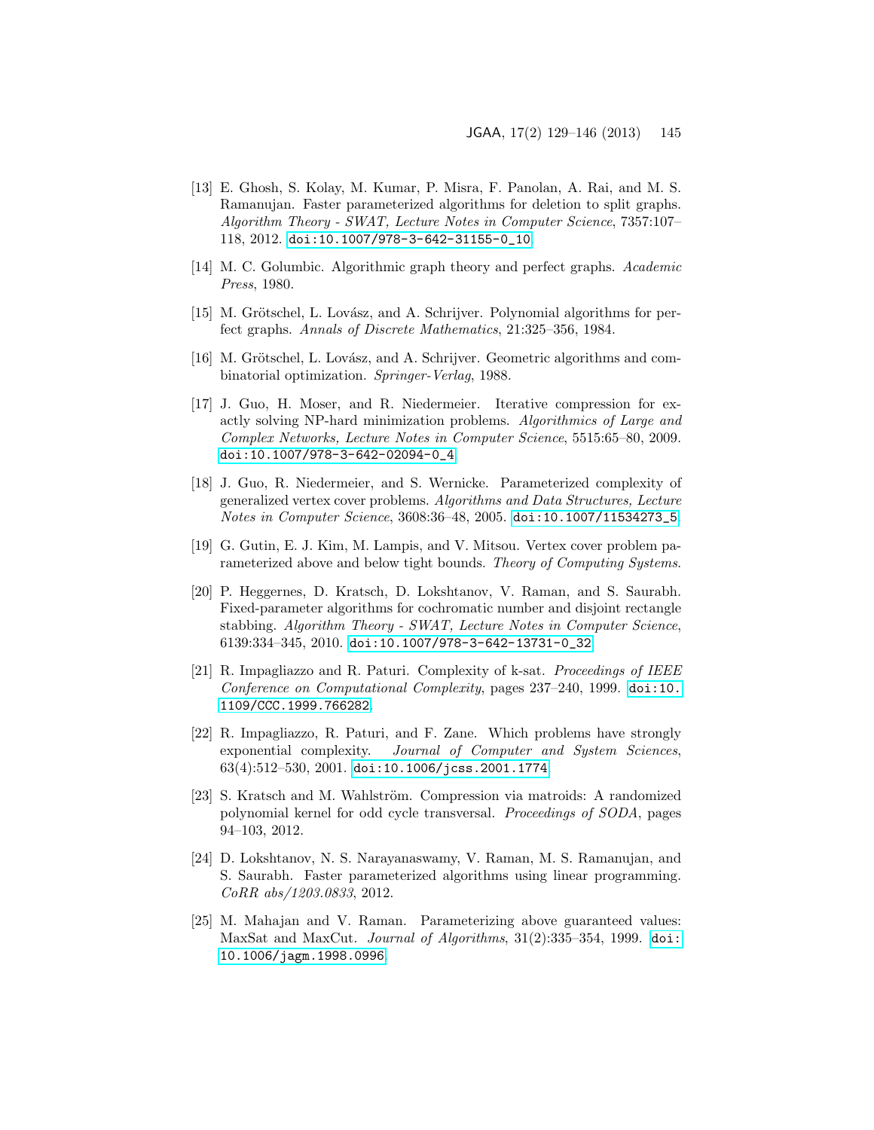- <span id="page-16-9"></span>[13] E. Ghosh, S. Kolay, M. Kumar, P. Misra, F. Panolan, A. Rai, and M. S. Ramanujan. Faster parameterized algorithms for deletion to split graphs. Algorithm Theory - SWAT, Lecture Notes in Computer Science, 7357:107– 118, 2012. [doi:10.1007/978-3-642-31155-0\\_10](http://dx.doi.org/10.1007/978-3-642-31155-0_10).
- <span id="page-16-3"></span>[14] M. C. Golumbic. Algorithmic graph theory and perfect graphs. Academic Press, 1980.
- <span id="page-16-4"></span>[15] M. Grötschel, L. Lovász, and A. Schrijver. Polynomial algorithms for perfect graphs. Annals of Discrete Mathematics, 21:325–356, 1984.
- <span id="page-16-6"></span>[16] M. Grötschel, L. Lovász, and A. Schrijver. Geometric algorithms and combinatorial optimization. Springer-Verlag, 1988.
- <span id="page-16-1"></span>[17] J. Guo, H. Moser, and R. Niedermeier. Iterative compression for exactly solving NP-hard minimization problems. Algorithmics of Large and Complex Networks, Lecture Notes in Computer Science, 5515:65–80, 2009. [doi:10.1007/978-3-642-02094-0\\_4](http://dx.doi.org/10.1007/978-3-642-02094-0_4).
- <span id="page-16-0"></span>[18] J. Guo, R. Niedermeier, and S. Wernicke. Parameterized complexity of generalized vertex cover problems. Algorithms and Data Structures, Lecture Notes in Computer Science, 3608:36–48, 2005. [doi:10.1007/11534273\\_5](http://dx.doi.org/10.1007/11534273_5).
- <span id="page-16-11"></span>[19] G. Gutin, E. J. Kim, M. Lampis, and V. Mitsou. Vertex cover problem parameterized above and below tight bounds. Theory of Computing Systems.
- <span id="page-16-5"></span>[20] P. Heggernes, D. Kratsch, D. Lokshtanov, V. Raman, and S. Saurabh. Fixed-parameter algorithms for cochromatic number and disjoint rectangle stabbing. Algorithm Theory - SWAT, Lecture Notes in Computer Science, 6139:334–345, 2010. [doi:10.1007/978-3-642-13731-0\\_32](http://dx.doi.org/10.1007/978-3-642-13731-0_32).
- <span id="page-16-7"></span>[21] R. Impagliazzo and R. Paturi. Complexity of k-sat. Proceedings of IEEE Conference on Computational Complexity, pages 237–240, 1999. [doi:10.](http://dx.doi.org/10.1109/CCC.1999.766282) [1109/CCC.1999.766282](http://dx.doi.org/10.1109/CCC.1999.766282).
- <span id="page-16-8"></span>[22] R. Impagliazzo, R. Paturi, and F. Zane. Which problems have strongly exponential complexity. Journal of Computer and System Sciences,  $63(4):512-530, 2001.$  [doi:10.1006/jcss.2001.1774](http://dx.doi.org/10.1006/jcss.2001.1774).
- <span id="page-16-12"></span>[23] S. Kratsch and M. Wahlström. Compression via matroids: A randomized polynomial kernel for odd cycle transversal. Proceedings of SODA, pages 94–103, 2012.
- <span id="page-16-2"></span>[24] D. Lokshtanov, N. S. Narayanaswamy, V. Raman, M. S. Ramanujan, and S. Saurabh. Faster parameterized algorithms using linear programming. CoRR abs/1203.0833, 2012.
- <span id="page-16-10"></span>[25] M. Mahajan and V. Raman. Parameterizing above guaranteed values: MaxSat and MaxCut. Journal of Algorithms, 31(2):335–354, 1999. [doi:](http://dx.doi.org/10.1006/jagm.1998.0996) [10.1006/jagm.1998.0996](http://dx.doi.org/10.1006/jagm.1998.0996).